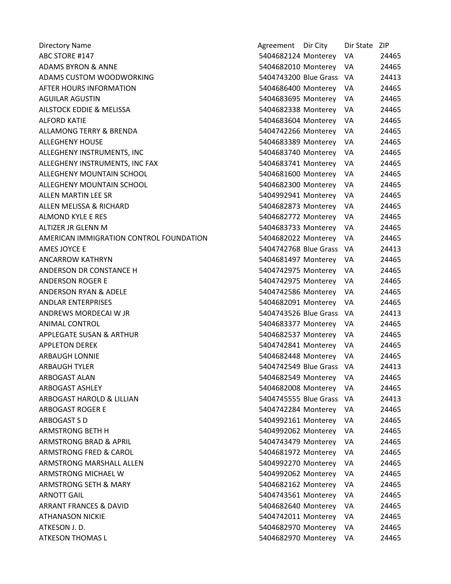| <b>Directory Name</b>                   | Agreement Dir City       | Dir State ZIP |       |
|-----------------------------------------|--------------------------|---------------|-------|
| ABC STORE #147                          | 5404682124 Monterey      | VA            | 24465 |
| <b>ADAMS BYRON &amp; ANNE</b>           | 5404682010 Monterey      | VA            | 24465 |
| ADAMS CUSTOM WOODWORKING                | 5404743200 Blue Grass    | - VA          | 24413 |
| AFTER HOURS INFORMATION                 | 5404686400 Monterey      | VA            | 24465 |
| <b>AGUILAR AGUSTIN</b>                  | 5404683695 Monterey      | VA            | 24465 |
| AILSTOCK EDDIE & MELISSA                | 5404682338 Monterey      | VA            | 24465 |
| <b>ALFORD KATIE</b>                     | 5404683604 Monterey      | VA            | 24465 |
| <b>ALLAMONG TERRY &amp; BRENDA</b>      | 5404742266 Monterey      | VA            | 24465 |
| <b>ALLEGHENY HOUSE</b>                  | 5404683389 Monterey      | VA            | 24465 |
| ALLEGHENY INSTRUMENTS, INC              | 5404683740 Monterey      | VA            | 24465 |
| ALLEGHENY INSTRUMENTS, INC FAX          | 5404683741 Monterey      | VA            | 24465 |
| ALLEGHENY MOUNTAIN SCHOOL               | 5404681600 Monterey      | VA            | 24465 |
| ALLEGHENY MOUNTAIN SCHOOL               | 5404682300 Monterey      | VA            | 24465 |
| <b>ALLEN MARTIN LEE SR</b>              | 5404992941 Monterey      | VA            | 24465 |
| ALLEN MELISSA & RICHARD                 | 5404682873 Monterey      | VA            | 24465 |
| ALMOND KYLE E RES                       | 5404682772 Monterey      | VA            | 24465 |
| ALTIZER JR GLENN M                      | 5404683733 Monterey      | VA            | 24465 |
| AMERICAN IMMIGRATION CONTROL FOUNDATION | 5404682022 Monterey      | VA            | 24465 |
| AMES JOYCE E                            | 5404742768 Blue Grass    | - VA          | 24413 |
| <b>ANCARROW KATHRYN</b>                 | 5404681497 Monterey      | VA            | 24465 |
| ANDERSON DR CONSTANCE H                 | 5404742975 Monterey      | VA            | 24465 |
| <b>ANDERSON ROGER E</b>                 | 5404742975 Monterey      | VA            | 24465 |
| ANDERSON RYAN & ADELE                   | 5404742586 Monterey      | VA            | 24465 |
| <b>ANDLAR ENTERPRISES</b>               | 5404682091 Monterey      | VA            | 24465 |
| ANDREWS MORDECAI W JR                   | 5404743526 Blue Grass    | - VA          | 24413 |
| <b>ANIMAL CONTROL</b>                   | 5404683377 Monterey      | VA            | 24465 |
| APPLEGATE SUSAN & ARTHUR                | 5404682537 Monterey      | VA            | 24465 |
| <b>APPLETON DEREK</b>                   | 5404742841 Monterey      | VA            | 24465 |
| <b>ARBAUGH LONNIE</b>                   | 5404682448 Monterey      | VA            | 24465 |
| <b>ARBAUGH TYLER</b>                    | 5404742549 Blue Grass VA |               | 24413 |
| <b>ARBOGAST ALAN</b>                    | 5404682549 Monterey      | VA            | 24465 |
| <b>ARBOGAST ASHLEY</b>                  | 5404682008 Monterey      | VA            | 24465 |
| ARBOGAST HAROLD & LILLIAN               | 5404745555 Blue Grass    | -VA           | 24413 |
| <b>ARBOGAST ROGER E</b>                 | 5404742284 Monterey      | VA            | 24465 |
| ARBOGAST S D                            | 5404992161 Monterey      | VA            | 24465 |
| <b>ARMSTRONG BETH H</b>                 | 5404992062 Monterey      | VA            | 24465 |
| <b>ARMSTRONG BRAD &amp; APRIL</b>       | 5404743479 Monterey      | VA            | 24465 |
| ARMSTRONG FRED & CAROL                  | 5404681972 Monterey      | VA            | 24465 |
| ARMSTRONG MARSHALL ALLEN                | 5404992270 Monterey      | VA            | 24465 |
| ARMSTRONG MICHAEL W                     | 5404992062 Monterey      | VA            | 24465 |
| ARMSTRONG SETH & MARY                   | 5404682162 Monterey      | VA            | 24465 |
| <b>ARNOTT GAIL</b>                      | 5404743561 Monterey      | VA            | 24465 |
| ARRANT FRANCES & DAVID                  | 5404682640 Monterey      | VA.           | 24465 |
| <b>ATHANASON NICKIE</b>                 | 5404742011 Monterey      | VA            | 24465 |
| ATKESON J.D.                            | 5404682970 Monterey      | VA            | 24465 |
| <b>ATKESON THOMAS L</b>                 | 5404682970 Monterey      | VA            | 24465 |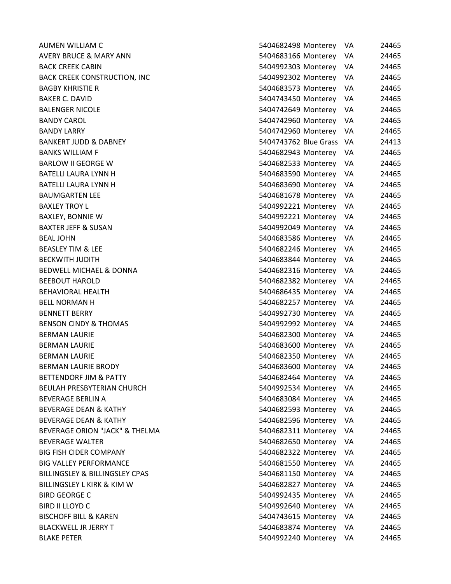| AUMEN WILLIAM C                           | 5404682498 Monterey      | VA  | 24465 |
|-------------------------------------------|--------------------------|-----|-------|
| <b>AVERY BRUCE &amp; MARY ANN</b>         | 5404683166 Monterey      | VA  | 24465 |
| <b>BACK CREEK CABIN</b>                   | 5404992303 Monterey      | VA  | 24465 |
| <b>BACK CREEK CONSTRUCTION, INC</b>       | 5404992302 Monterey      | VA. | 24465 |
| <b>BAGBY KHRISTIE R</b>                   | 5404683573 Monterey      | VA  | 24465 |
| <b>BAKER C. DAVID</b>                     | 5404743450 Monterey VA   |     | 24465 |
| <b>BALENGER NICOLE</b>                    | 5404742649 Monterey VA   |     | 24465 |
| <b>BANDY CAROL</b>                        | 5404742960 Monterey VA   |     | 24465 |
| <b>BANDY LARRY</b>                        | 5404742960 Monterey      | -VA | 24465 |
| <b>BANKERT JUDD &amp; DABNEY</b>          | 5404743762 Blue Grass VA |     | 24413 |
| <b>BANKS WILLIAM F</b>                    | 5404682943 Monterey VA   |     | 24465 |
| <b>BARLOW II GEORGE W</b>                 | 5404682533 Monterey      | VA. | 24465 |
| <b>BATELLI LAURA LYNN H</b>               | 5404683590 Monterey VA   |     | 24465 |
| BATELLI LAURA LYNN H                      | 5404683690 Monterey      | VA  | 24465 |
| <b>BAUMGARTEN LEE</b>                     | 5404681678 Monterey      | VA  | 24465 |
| <b>BAXLEY TROY L</b>                      | 5404992221 Monterey      | VA. | 24465 |
| <b>BAXLEY, BONNIE W</b>                   | 5404992221 Monterey      | VA. | 24465 |
| <b>BAXTER JEFF &amp; SUSAN</b>            | 5404992049 Monterey      | VA. | 24465 |
| <b>BEAL JOHN</b>                          | 5404683586 Monterey      | VA. | 24465 |
| <b>BEASLEY TIM &amp; LEE</b>              | 5404682246 Monterey VA   |     | 24465 |
| <b>BECKWITH JUDITH</b>                    | 5404683844 Monterey VA   |     | 24465 |
| BEDWELL MICHAEL & DONNA                   | 5404682316 Monterey      | VA  | 24465 |
| <b>BEEBOUT HAROLD</b>                     | 5404682382 Monterey      | VA. | 24465 |
| <b>BEHAVIORAL HEALTH</b>                  | 5404686435 Monterey      | VA  | 24465 |
| <b>BELL NORMAN H</b>                      | 5404682257 Monterey VA   |     | 24465 |
| <b>BENNETT BERRY</b>                      | 5404992730 Monterey      | VA. | 24465 |
| <b>BENSON CINDY &amp; THOMAS</b>          | 5404992992 Monterey      | VA. | 24465 |
| <b>BERMAN LAURIE</b>                      | 5404682300 Monterey      | VA  | 24465 |
| <b>BERMAN LAURIE</b>                      | 5404683600 Monterey      | VA  | 24465 |
| <b>BERMAN LAURIE</b>                      | 5404682350 Monterey      | VA. | 24465 |
| <b>BERMAN LAURIE BRODY</b>                | 5404683600 Monterey      | VA  | 24465 |
| <b>BETTENDORF JIM &amp; PATTY</b>         | 5404682464 Monterey      | VA  | 24465 |
| <b>BEULAH PRESBYTERIAN CHURCH</b>         | 5404992534 Monterey      | VA  | 24465 |
| <b>BEVERAGE BERLIN A</b>                  | 5404683084 Monterey      | VA  | 24465 |
| <b>BEVERAGE DEAN &amp; KATHY</b>          | 5404682593 Monterey      | VA  | 24465 |
| <b>BEVERAGE DEAN &amp; KATHY</b>          | 5404682596 Monterey      | VA  | 24465 |
| <b>BEVERAGE ORION "JACK" &amp; THELMA</b> | 5404682311 Monterey      | VA. | 24465 |
| <b>BEVERAGE WALTER</b>                    | 5404682650 Monterey      | VA  | 24465 |
| <b>BIG FISH CIDER COMPANY</b>             | 5404682322 Monterey      | VA. | 24465 |
| <b>BIG VALLEY PERFORMANCE</b>             | 5404681550 Monterey      | VA. | 24465 |
| BILLINGSLEY & BILLINGSLEY CPAS            | 5404681150 Monterey      | VA. | 24465 |
| BILLINGSLEY L KIRK & KIM W                | 5404682827 Monterey      | VA. | 24465 |
| <b>BIRD GEORGE C</b>                      | 5404992435 Monterey      | VA  | 24465 |
| <b>BIRD II LLOYD C</b>                    | 5404992640 Monterey      | VA. | 24465 |
| <b>BISCHOFF BILL &amp; KAREN</b>          | 5404743615 Monterey      | VA. | 24465 |
| <b>BLACKWELL JR JERRY T</b>               | 5404683874 Monterey      | VA  | 24465 |
| <b>BLAKE PETER</b>                        | 5404992240 Monterey      | VA  | 24465 |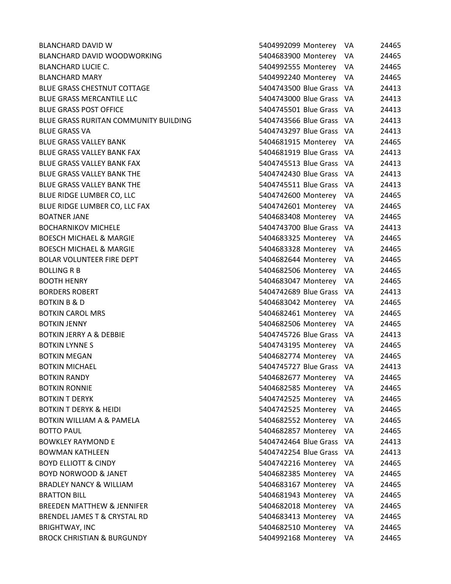**BLANCHARD DAVID W** BLANCHARD DAVID WOODWORKING BLANCHARD LUCIE C. **BLANCHARD MARY** BLUE GRASS CHESTNUT COTTAGE BLUE GRASS MERCANTILE LLC **BLUE GRASS POST OFFICE** BLUE GRASS RURITAN COMMUNITY BUILDING **BLUE GRASS VA** BLUE GRASS VALLEY BANK BLUE GRASS VALLEY BANK FAX BLUE GRASS VALLEY BANK FAX BLUE GRASS VALLEY BANK THE BLUE GRASS VALLEY BANK THE BLUE RIDGE LUMBER CO, LLC BLUE RIDGE LUMBER CO, LLC FAX BOATNER JANE BOCHARNIKOV MICHELE BOESCH MICHAEL & MARGIE **BOESCH MICHAEL & MARGIE** BOLAR VOLUNTEER FIRE DEPT BOLLING R B 5404682506 Monterey VA 24465 **BOOTH HENRY BORDERS ROBERT** BOTKIN B & D **BOTKIN CAROL MRS** BOTKIN JENNY 5404682506 Monterey VA 24465 BOTKIN JERRY A & DEBBIE **BOTKIN LYNNE S BOTKIN MEGAN BOTKIN MICHAEL BOTKIN RANDY BOTKIN RONNIE BOTKIN T DERYK** BOTKIN T DERYK & HEIDI BOTKIN WILLIAM A & PAMELA BOTTO PAUL 24465 North 24465 2012 12:30 13:40 5404682857 Monterey VA BOWKLEY RAYMOND E BOWMAN KATHLEEN BOYD ELLIOTT & CINDY BOYD NORWOOD & JANET BRADLEY NANCY & WILLIAM BRATTON BILL 5404681943 Monterey VA 24465 BREEDEN MATTHEW & JENNIFER BRENDEL JAMES T & CRYSTAL RD BRIGHTWAY, INC BROCK CHRISTIAN & BURGUNDY

| 5404992099 Monterey    | VA | 24465 |
|------------------------|----|-------|
| 5404683900 Monterey    | VA | 24465 |
| 5404992555 Monterey    | VA | 24465 |
| 5404992240 Monterey    | VA | 24465 |
| 5404743500 Blue Grass  | VA | 24413 |
| 5404743000 Blue Grass  | VA | 24413 |
| 5404745501 Blue Grass  | VA | 24413 |
| <b>Blue Grass</b>      | VA | 24413 |
| 5404743297 Blue Grass  | VA | 24413 |
| 5404681915 Monterey    | VA | 24465 |
| 5404681919 Blue Grass  | VA | 24413 |
| 5404745513 Blue Grass  | VA | 24413 |
| 5404742430 Blue Grass  | VA | 24413 |
| 5404745511 Blue Grass  | VA | 24413 |
| 5404742600 Monterey    | VA | 24465 |
| 5404742601 Monterey    | VA | 24465 |
| 5404683408 Monterey    | VA | 24465 |
| 5404743700 Blue Grass  | VA | 24413 |
| 5404683325 Monterey    | VA | 24465 |
| 5404683328 Monterey    | VA | 24465 |
| 5404682644 Monterey    | VA | 24465 |
| 5404682506 Monterey    | VA | 24465 |
| 5404683047<br>Monterey | VA | 24465 |
| 5404742689 Blue Grass  | VA | 24413 |
| 5404683042 Monterey    | VA | 24465 |
| 5404682461 Monterey    | VA | 24465 |
| 5404682506 Monterey    | VA | 24465 |
| 5404745726 Blue Grass  | VA | 24413 |
| 5404743195 Monterey    | VA | 24465 |
| 5404682774 Monterey    | VA | 24465 |
| 5404745727 Blue Grass  | VA | 24413 |
| 5404682677 Monterey    | VA | 24465 |
| 5404682585 Monterey    | VA | 24465 |
| 5404742525 Monterey    | VA | 24465 |
| 5404742525 Monterey    | VA | 24465 |
| 5404682552 Monterey    | VA | 24465 |
| 5404682857 Monterey    | VA | 24465 |
| 5404742464 Blue Grass  | VA | 24413 |
| 5404742254 Blue Grass  | VA | 24413 |
| 5404742216 Monterey    | VA | 24465 |
| 5404682385 Monterey    | VA | 24465 |
| 5404683167 Monterey    | VA | 24465 |
| 5404681943 Monterey    | VA | 24465 |
| 5404682018 Monterey    | VA | 24465 |
| 5404683413 Monterey    | VA | 24465 |
| 5404682510 Monterey    | VA | 24465 |
| 5404992168 Monterey    | VA | 24465 |
|                        |    |       |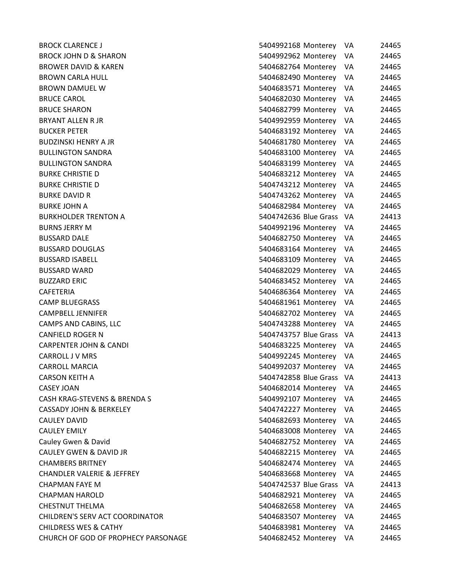| <b>BROCK CLARENCE J</b>             | 5404992168 Monterey<br>VA.   | 24465 |
|-------------------------------------|------------------------------|-------|
| <b>BROCK JOHN D &amp; SHARON</b>    | 5404992962 Monterey<br>VA.   | 24465 |
| <b>BROWER DAVID &amp; KAREN</b>     | 5404682764 Monterey<br>VA.   | 24465 |
| BROWN CARLA HULL                    | 5404682490 Monterey<br>VA.   | 24465 |
| BROWN DAMUEL W                      | 5404683571 Monterey<br>VA    | 24465 |
| <b>BRUCE CAROL</b>                  | 5404682030 Monterey<br>VA    | 24465 |
| <b>BRUCE SHARON</b>                 | 5404682799 Monterey<br>VA    | 24465 |
| BRYANT ALLEN R JR                   | 5404992959 Monterey<br>VA.   | 24465 |
| <b>BUCKER PETER</b>                 | 5404683192 Monterey<br>VA.   | 24465 |
| BUDZINSKI HENRY A JR                | 5404681780 Monterey VA       | 24465 |
| <b>BULLINGTON SANDRA</b>            | 5404683100 Monterey VA       | 24465 |
| <b>BULLINGTON SANDRA</b>            | 5404683199 Monterey<br>VA    | 24465 |
| BURKE CHRISTIE D                    | 5404683212 Monterey<br>VA.   | 24465 |
| BURKE CHRISTIE D                    | 5404743212 Monterey<br>VA    | 24465 |
| BURKE DAVID R                       | 5404743262 Monterey VA       | 24465 |
| BURKE JOHN A                        | 5404682984 Monterey VA       | 24465 |
| <b>BURKHOLDER TRENTON A</b>         | 5404742636 Blue Grass VA     | 24413 |
| BURNS JERRY M                       | 5404992196 Monterey<br>VA.   | 24465 |
| <b>BUSSARD DALE</b>                 | 5404682750 Monterey<br>VA    | 24465 |
| BUSSARD DOUGLAS                     | 5404683164 Monterey VA       | 24465 |
| <b>BUSSARD ISABELL</b>              | 5404683109 Monterey<br>VA    | 24465 |
| <b>BUSSARD WARD</b>                 | 5404682029 Monterey<br>VA.   | 24465 |
| <b>BUZZARD ERIC</b>                 | 5404683452 Monterey<br>VA.   | 24465 |
| CAFETERIA                           | 5404686364 Monterey VA       | 24465 |
| CAMP BLUEGRASS                      | 5404681961 Monterey<br>VA    | 24465 |
| CAMPBELL JENNIFER                   | 5404682702 Monterey<br>VA    | 24465 |
| CAMPS AND CABINS, LLC               | 5404743288 Monterey<br>VA.   | 24465 |
| CANFIELD ROGER N                    | 5404743757 Blue Grass VA     | 24413 |
| <b>CARPENTER JOHN &amp; CANDI</b>   | 5404683225 Monterey VA       | 24465 |
| CARROLL J V MRS                     | 5404992245 Monterey<br>VA.   | 24465 |
| <b>CARROLL MARCIA</b>               | 5404992037 Monterey<br>VA    | 24465 |
| CARSON KEITH A                      | 5404742858 Blue Grass<br>-VA | 24413 |
| <b>CASEY JOAN</b>                   | 5404682014 Monterey<br>VA.   | 24465 |
| CASH KRAG-STEVENS & BRENDA S        | 5404992107 Monterey<br>VA    | 24465 |
| CASSADY JOHN & BERKELEY             | 5404742227 Monterey<br>VA    | 24465 |
| <b>CAULEY DAVID</b>                 | 5404682693 Monterey<br>VA.   | 24465 |
| CAULEY EMILY                        | 5404683008 Monterey<br>VA    | 24465 |
| Cauley Gwen & David                 | 5404682752 Monterey<br>VA.   | 24465 |
| CAULEY GWEN & DAVID JR              | 5404682215 Monterey<br>VA    | 24465 |
| <b>CHAMBERS BRITNEY</b>             | 5404682474 Monterey<br>VA    | 24465 |
| CHANDLER VALERIE & JEFFREY          | 5404683668 Monterey VA       | 24465 |
| CHAPMAN FAYE M                      | 5404742537 Blue Grass VA     | 24413 |
| CHAPMAN HAROLD                      | 5404682921 Monterey<br>VA    | 24465 |
| CHESTNUT THELMA                     | 5404682658 Monterey<br>VA.   | 24465 |
| CHILDREN'S SERV ACT COORDINATOR     | 5404683507 Monterey<br>VA    | 24465 |
| <b>CHILDRESS WES &amp; CATHY</b>    | 5404683981 Monterey<br>VA    | 24465 |
| CHURCH OF GOD OF PROPHECY PARSONAGE | 5404682452 Monterey VA       | 24465 |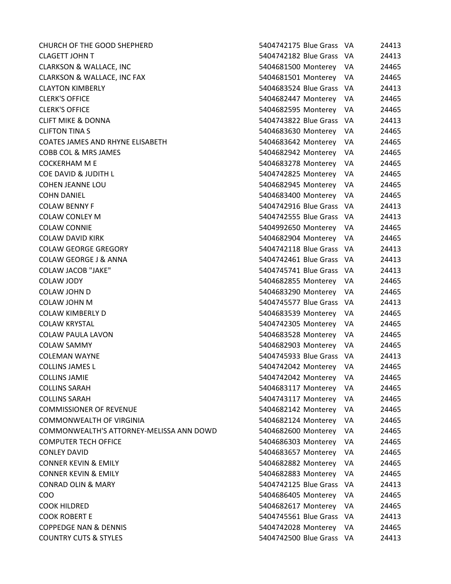CHURCH OF THE GOOD SHEPHERD 5404742175 Blue Grass VA 24413 CLAGETT JOHN T 5404742182 Blue Grass VA 244142 Blue Grass VA 244142 Blue Grass VA 244142 Blue Grass VA 24413 CLARKSON & WALLACE, INC 5404681500 Monterey VA 24465 CLARKSON & WALLACE, INC FAX 5404668161 Monterey VA 244668168161 Monterey VA 244668161 Monterey VA 244666161 Mo CLAYTON KIMBERLY 54046834 Blue Grass VA 34446834 Blue Grass VA 34446834 Blue Grass VA 34414684 Blue Grass VA 24 CLERK'S OFFICE 5404682447 Monterey VA 244668247 Monterey VA 244668247 Monterey VA 24466847 Monterey VA 244656 CLERK'S OFFICE 5404682595 Monterey VA 2446682595 Monterey VA 24466836 CLIFT MIKE & DONNA 5404743822 Blue Grass VA 24413 CLIFTON TINA S 5404683630 Monterey VA 24465 COATES JAMES AND RHYNE ELISABETH 54046642 Monterey VA 24466844 COBB COL & MRS JAMES 54046942 Monterey VA 244668294 COCKERHAM M E 5404683278 Monterey VA 2446683478 Monterey VA 2446683478 Monterey VA 244658378 Monterey VA 2446 COE DAVID & JUDITH L 5404742826 Monterey VA 244742827 Monterey VA 244742827 Monterey VA 244742827 COHEN JEANNE LOU 540468294682946468294684682946829464682946 COHN DANIEL 540468400 Monterey VA 244668340 Monterey VA 244668340 Monterey VA 244668340 COLAW BENNY F 5404742916 Blue Grass VA 2441474744 COLAW CONLEY M 5404742555 Blue Grass VA 24413 COLAW CONNIE 5404992650 Monterey VA 244650 Monterey VA 244650 Monterey VA 244650 Monterey VA 244650 Monterey VA COLAW DAVID KIRK 5404682904 Monterey VA 2446682904 Monterey VA 2446682904 COLAW GEORGE GREGORY 54047421212 Blue Grass VA 24414 Blue Grass VA 24414 Blue Grass VA 24414 Blue Grass VA 244 COLAW GEORGE J & ANNA 5404742461 Blue Grass VA 24413 COLAW JACOB "JAKE" 5404745741 Blue Grass VA 24414 Blue Grass VA 24414 Blue Grass VA 24414 Blue Grass VA 24413 COLAW JODY 5404682855 Monterey VA 24465 COLAW JOHN D 5404683290 Monterey VA 2446683290 Monterey VA 2446683290 Monterey VA 2446683290 Monterey VA 2446 COLAW JOHN M 54047457 Blue Grass VA 2441457 Blue Grass VA 2441457 Blue Grass VA 2441457 COLAW KIMBERLY D 54046834545454545364683645346453464635346463534646453464645354646 COLAW KRYSTAL 5404742306 Monterey VA 244742305 Monterey VA 244742305 Monterey VA 244745 COLAW PAULA LAVON 5404683528 Monterey VA 24465 COLAW SAMMY 5404682903 Monterey VA 2446682903 Monterey VA 2446682903 Monterey VA 2446683903 Monterey VA 24465 COLEMAN WAYNE 5404745933 Blue Grass VA 24414593 Blue Grass VA 24414593 Blue Grass VA 24414593 Blue Grass VA 24 COLLINS JAMES L 54047442 Monterey VA 2447442 Monterey VA 244744 COLLINS JAMIE 54047442 Monterey VA 2447442 Monterey VA 2447444 COLLINS SARAH 5404683117 Monterey VA 2446683117 Monterey VA 2446683117 Monterey VA 2446583117 Monterey VA 2446 COLLINS SARAH 5404743117 Monterey VA 24465 COMMISSIONER OF REVENUE 5404682144668214466821446821446821446821446821446682144668214466821446682144 COMMONWEALTH OF VIRGINIA 6404682124 Monterey VA 2446682124 Monterey VA 2446682124 Monterey VA 244668 COMMONWEALTH'S ATTORNEY-MELISSA ANN DOWD 54046682600 MONTER COMPUTER TECH OFFICE 5404686303 Monterey VA 24465 CONLEY DAVID 540468367 Monterey VA 2446683667 Monterey VA 244668367 Monterey VA 244657 Monterey VA 244657 Mon CONNER KEVIN & EMILY 5404682884682882 Monterey VA 2446682884 CONNER KEVIN & EMILY 540468284846848484468483 CONRAD OLIN & MARY 5404742126 Blue Grass VA 2441425 Blue Grass VA 2441425 Blue Grass VA 2441425 Blue Grass VA 24413 COO 5404686405 Monterey VA 24465 COOK HILDRED 5404682617 Monterey VA 2446682617 Monterey VA 2446682617 Monterey VA 2446682617 Monterey VA 24465 COOK ROBERT E 540474561 Blue Grass VA 24414561 Blue Grass VA 24414561 Blue Grass VA 24414561 Blue Grass VA 244 COPPEDGE NAN & DENNIS 5404742028 Monterey VA 24465 COUNTRY CUTS & STYLES 5404742500 Blue Grass VA 24413

| 5404742175 Blue Grass  | VA | 24413 |
|------------------------|----|-------|
| 5404742182 Blue Grass  | VA | 24413 |
| 5404681500 Monterey    | VA | 24465 |
| 5404681501 Monterey    | VA | 24465 |
| 5404683524 Blue Grass  | VA | 24413 |
| 5404682447 Monterey    | VA | 24465 |
| 5404682595 Monterey    | VA | 24465 |
| 5404743822 Blue Grass  | VA | 24413 |
| 5404683630 Monterey    | VA | 24465 |
| 5404683642 Monterey    | VA | 24465 |
| 5404682942 Monterey    | VA | 24465 |
| 5404683278 Monterey    | VA | 24465 |
| 5404742825 Monterey    | VA | 24465 |
| 5404682945 Monterey    | VA | 24465 |
| 5404683400 Monterey    | VA | 24465 |
| 5404742916 Blue Grass  | VA | 24413 |
| 5404742555 Blue Grass  | VA | 24413 |
| 5404992650 Monterey    | VA | 24465 |
| 5404682904 Monterey    | VA | 24465 |
| 5404742118 Blue Grass  | VA | 24413 |
| 5404742461 Blue Grass  | VA | 24413 |
| 5404745741 Blue Grass  | VA | 24413 |
| 5404682855 Monterey    | VA | 24465 |
| 5404683290 Monterey    | VA | 24465 |
| 5404745577 Blue Grass  | VA | 24413 |
| 5404683539 Monterey    | VA | 24465 |
| 5404742305 Monterey    | VA | 24465 |
| 5404683528 Monterey    | VA | 24465 |
| 5404682903 Monterey    | VA | 24465 |
| 5404745933 Blue Grass  | VA | 24413 |
| 5404742042 Monterey    | VA | 24465 |
| 5404742042 Monterey    | VA | 24465 |
| 5404683117 Monterey    | VA | 24465 |
| 5404743117 Monterey    | VA | 24465 |
| 5404682142 Monterey    | VA | 24465 |
| 5404682124 Monterey    | VA | 24465 |
| 5404682600 Monterey    | VA | 24465 |
| 5404686303 Monterev    | VA | 24465 |
| 5404683657 Monterey    | VA | 24465 |
| 5404682882 Monterey    | VA | 24465 |
| 5404682883 Monterey    | VA | 24465 |
| 5404742125 Blue Grass  | VA | 24413 |
| 5404686405 Monterey    | VA | 24465 |
| 5404682617 Monterey    | VA | 24465 |
| 5404745561 Blue Grass  | VA | 24413 |
| 5404742028 Monterey VA |    | 24465 |
| 5404742500 Blue Grass  | VA | 24413 |
|                        |    |       |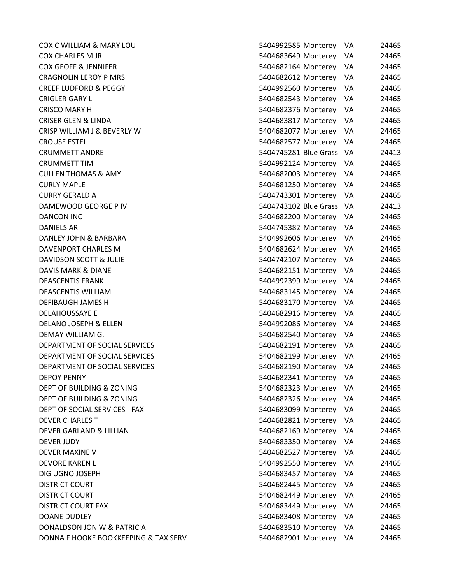| COX C WILLIAM & MARY LOU               | 5404992585 Monterey      | VA<br>24465  |
|----------------------------------------|--------------------------|--------------|
| <b>COX CHARLES M JR</b>                | 5404683649 Monterey      | VA<br>24465  |
| <b>COX GEOFF &amp; JENNIFER</b>        | 5404682164 Monterey      | 24465<br>VA  |
| <b>CRAGNOLIN LEROY P MRS</b>           | 5404682612 Monterey      | VA<br>24465  |
| <b>CREEF LUDFORD &amp; PEGGY</b>       | 5404992560 Monterey      | 24465<br>VA  |
| <b>CRIGLER GARY L</b>                  | 5404682543 Monterey      | 24465<br>VA  |
| <b>CRISCO MARY H</b>                   | 5404682376 Monterey      | VA<br>24465  |
| <b>CRISER GLEN &amp; LINDA</b>         | 5404683817 Monterey      | 24465<br>VA  |
| <b>CRISP WILLIAM J &amp; BEVERLY W</b> | 5404682077 Monterey      | VA<br>24465  |
| <b>CROUSE ESTEL</b>                    | 5404682577 Monterey      | 24465<br>VA  |
| <b>CRUMMETT ANDRE</b>                  | 5404745281 Blue Grass    | VA<br>24413  |
| <b>CRUMMETT TIM</b>                    | 5404992124 Monterey      | VA<br>24465  |
| <b>CULLEN THOMAS &amp; AMY</b>         | 5404682003 Monterey      | 24465<br>VA. |
| <b>CURLY MAPLE</b>                     | 5404681250 Monterey      | 24465<br>VA  |
| <b>CURRY GERALD A</b>                  | 5404743301 Monterey      | 24465<br>VA  |
| DAMEWOOD GEORGE P IV                   | 5404743102 Blue Grass VA | 24413        |
| <b>DANCON INC</b>                      | 5404682200 Monterey      | VA<br>24465  |
| DANIELS ARI                            | 5404745382 Monterey      | 24465<br>VA  |
| DANLEY JOHN & BARBARA                  | 5404992606 Monterey      | 24465<br>VA  |
| <b>DAVENPORT CHARLES M</b>             | 5404682624 Monterey      | 24465<br>VA  |
| DAVIDSON SCOTT & JULIE                 | 5404742107 Monterey      | 24465<br>VA  |
| DAVIS MARK & DIANE                     | 5404682151 Monterey      | 24465<br>VA  |
| <b>DEASCENTIS FRANK</b>                | 5404992399 Monterey      | 24465<br>VA  |
| <b>DEASCENTIS WILLIAM</b>              | 5404683145 Monterey      | 24465<br>VA  |
| <b>DEFIBAUGH JAMES H</b>               | 5404683170 Monterey      | 24465<br>VA  |
| <b>DELAHOUSSAYE E</b>                  | 5404682916 Monterey      | VA<br>24465  |
| DELANO JOSEPH & ELLEN                  | 5404992086 Monterey      | 24465<br>VA  |
| DEMAY WILLIAM G.                       | 5404682540 Monterey      | 24465<br>VA  |
| DEPARTMENT OF SOCIAL SERVICES          | 5404682191 Monterey      | VA<br>24465  |
| DEPARTMENT OF SOCIAL SERVICES          | 5404682199 Monterey      | VA<br>24465  |
| DEPARTMENT OF SOCIAL SERVICES          | 5404682190 Monterey      | VA<br>24465  |
| <b>DEPOY PENNY</b>                     | 5404682341 Monterey      | 24465<br>VA  |
| DEPT OF BUILDING & ZONING              | 5404682323 Monterey      | VA<br>24465  |
| DEPT OF BUILDING & ZONING              | 5404682326 Monterey      | VA<br>24465  |
| DEPT OF SOCIAL SERVICES - FAX          | 5404683099 Monterey      | VA<br>24465  |
| <b>DEVER CHARLES T</b>                 | 5404682821 Monterey      | VA<br>24465  |
| <b>DEVER GARLAND &amp; LILLIAN</b>     | 5404682169 Monterey      | VA<br>24465  |
| <b>DEVER JUDY</b>                      | 5404683350 Monterey      | VA<br>24465  |
| DEVER MAXINE V                         | 5404682527 Monterey      | 24465<br>VA  |
| <b>DEVORE KAREN L</b>                  | 5404992550 Monterey      | 24465<br>VA  |
| DIGIUGNO JOSEPH                        | 5404683457 Monterey      | VA<br>24465  |
| <b>DISTRICT COURT</b>                  | 5404682445 Monterey      | VA<br>24465  |
| <b>DISTRICT COURT</b>                  | 5404682449 Monterey      | VA<br>24465  |
| <b>DISTRICT COURT FAX</b>              | 5404683449 Monterey      | 24465<br>VA  |
| <b>DOANE DUDLEY</b>                    | 5404683408 Monterey      | VA<br>24465  |
| DONALDSON JON W & PATRICIA             | 5404683510 Monterey      | 24465<br>VA  |
| DONNA F HOOKE BOOKKEEPING & TAX SERV   | 5404682901 Monterey      | VA<br>24465  |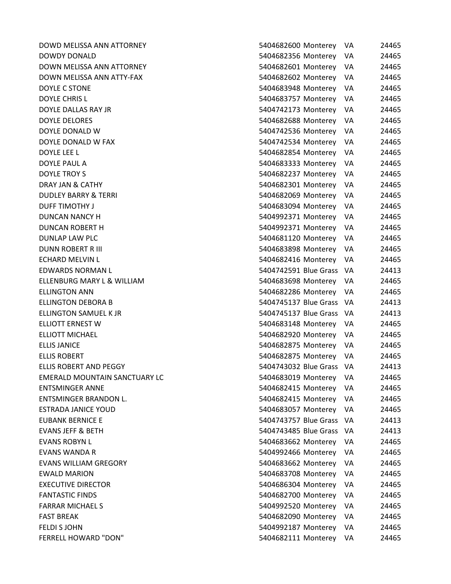| DOWD MELISSA ANN ATTORNEY            | 5404682600 Monterey<br>VA     | 24465 |
|--------------------------------------|-------------------------------|-------|
| <b>DOWDY DONALD</b>                  | 5404682356 Monterey<br>VA     | 24465 |
| DOWN MELISSA ANN ATTORNEY            | 5404682601 Monterey<br>VA     | 24465 |
| DOWN MELISSA ANN ATTY-FAX            | 5404682602 Monterey<br>VA.    | 24465 |
| DOYLE C STONE                        | 5404683948 Monterey<br>VA     | 24465 |
| <b>DOYLE CHRIS L</b>                 | 5404683757 Monterey<br>VA     | 24465 |
| DOYLE DALLAS RAY JR                  | 5404742173 Monterey<br>VA     | 24465 |
| <b>DOYLE DELORES</b>                 | 5404682688 Monterey<br>VA     | 24465 |
| DOYLE DONALD W                       | 5404742536 Monterey<br>VA     | 24465 |
| DOYLE DONALD W FAX                   | 5404742534 Monterey<br>VA     | 24465 |
| DOYLE LEE L                          | 5404682854 Monterey<br>VA     | 24465 |
| DOYLE PAUL A                         | 5404683333 Monterey<br>VA     | 24465 |
| DOYLE TROY S                         | 5404682237 Monterey<br>VA.    | 24465 |
| DRAY JAN & CATHY                     | 5404682301 Monterey<br>VA     | 24465 |
| <b>DUDLEY BARRY &amp; TERRI</b>      | 5404682069 Monterey<br>VA     | 24465 |
| <b>DUFF TIMOTHY J</b>                | 5404683094 Monterey<br>VA     | 24465 |
| <b>DUNCAN NANCY H</b>                | 5404992371 Monterey<br>VA     | 24465 |
| DUNCAN ROBERT H                      | 5404992371 Monterey<br>VA.    | 24465 |
| <b>DUNLAP LAW PLC</b>                | 5404681120 Monterey<br>VA     | 24465 |
| <b>DUNN ROBERT R III</b>             | 5404683898 Monterey<br>-VA    | 24465 |
| <b>ECHARD MELVIN L</b>               | 5404682416 Monterey VA        | 24465 |
| <b>EDWARDS NORMAN L</b>              | 5404742591 Blue Grass VA      | 24413 |
| ELLENBURG MARY L & WILLIAM           | 5404683698 Monterey<br>VA.    | 24465 |
| <b>ELLINGTON ANN</b>                 | 5404682286 Monterey<br>VA     | 24465 |
| <b>ELLINGTON DEBORA B</b>            | 5404745137 Blue Grass VA      | 24413 |
| ELLINGTON SAMUEL K JR                | 5404745137 Blue Grass VA      | 24413 |
| ELLIOTT ERNEST W                     | 5404683148 Monterey<br>VA     | 24465 |
| <b>ELLIOTT MICHAEL</b>               | 5404682920 Monterey<br>VA     | 24465 |
| <b>ELLIS JANICE</b>                  | 5404682875 Monterey<br>VA     | 24465 |
| <b>ELLIS ROBERT</b>                  | 5404682875 Monterey VA        | 24465 |
| ELLIS ROBERT AND PEGGY               | 5404743032 Blue Grass VA      | 24413 |
| <b>EMERALD MOUNTAIN SANCTUARY LC</b> | 5404683019 Monterey<br>VA     | 24465 |
| <b>ENTSMINGER ANNE</b>               | 5404682415 Monterey<br>VA     | 24465 |
| <b>ENTSMINGER BRANDON L.</b>         | 5404682415 Monterey<br>VA     | 24465 |
| <b>ESTRADA JANICE YOUD</b>           | 5404683057 Monterey<br>VA     | 24465 |
| <b>EUBANK BERNICE E</b>              | 5404743757 Blue Grass<br>- VA | 24413 |
| <b>EVANS JEFF &amp; BETH</b>         | 5404743485 Blue Grass<br>- VA | 24413 |
| <b>EVANS ROBYN L</b>                 | 5404683662 Monterey<br>VA     | 24465 |
| <b>EVANS WANDA R</b>                 | 5404992466 Monterey<br>VA     | 24465 |
| <b>EVANS WILLIAM GREGORY</b>         | 5404683662 Monterey<br>VA     | 24465 |
| <b>EWALD MARION</b>                  | 5404683708 Monterey<br>VA     | 24465 |
| <b>EXECUTIVE DIRECTOR</b>            | 5404686304 Monterey<br>VA     | 24465 |
| <b>FANTASTIC FINDS</b>               | 5404682700 Monterey<br>VA     | 24465 |
| <b>FARRAR MICHAEL S</b>              | 5404992520 Monterey<br>VA.    | 24465 |
| <b>FAST BREAK</b>                    | 5404682090 Monterey<br>VA     | 24465 |
| <b>FELDI S JOHN</b>                  | 5404992187 Monterey<br>VA     | 24465 |
| FERRELL HOWARD "DON"                 | 5404682111 Monterey<br>VA     | 24465 |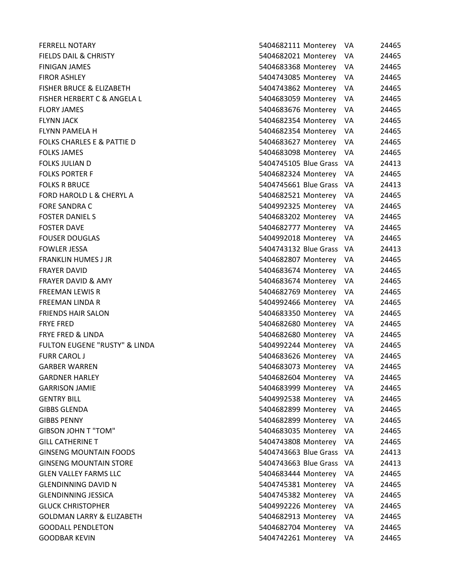| <b>FERRELL NOTARY</b>                    | 5404682111 Monterey           | 24465<br>VA  |
|------------------------------------------|-------------------------------|--------------|
| <b>FIELDS DAIL &amp; CHRISTY</b>         | 5404682021 Monterey           | VA<br>24465  |
| <b>FINIGAN JAMES</b>                     | 5404683368 Monterey           | VA<br>24465  |
| <b>FIROR ASHLEY</b>                      | 5404743085 Monterey           | 24465<br>VA. |
| <b>FISHER BRUCE &amp; ELIZABETH</b>      | 5404743862 Monterey           | VA<br>24465  |
| FISHER HERBERT C & ANGELA L              | 5404683059 Monterey           | 24465<br>VA  |
| <b>FLORY JAMES</b>                       | 5404683676 Monterey           | VA<br>24465  |
| <b>FLYNN JACK</b>                        | 5404682354 Monterey           | 24465<br>VA  |
| <b>FLYNN PAMELA H</b>                    | 5404682354 Monterey           | VA<br>24465  |
| FOLKS CHARLES E & PATTIE D               | 5404683627 Monterey           | 24465<br>VA  |
| <b>FOLKS JAMES</b>                       | 5404683098 Monterey           | 24465<br>VA  |
| <b>FOLKS JULIAN D</b>                    | 5404745105 Blue Grass VA      | 24413        |
| <b>FOLKS PORTER F</b>                    | 5404682324 Monterey<br>VA     | 24465        |
| <b>FOLKS R BRUCE</b>                     | 5404745661 Blue Grass<br>- VA | 24413        |
| <b>FORD HAROLD L &amp; CHERYL A</b>      | 5404682521 Monterey           | 24465<br>VA  |
| <b>FORE SANDRA C</b>                     | 5404992325 Monterey           | VA<br>24465  |
| <b>FOSTER DANIELS</b>                    | 5404683202 Monterey           | 24465<br>VA  |
| <b>FOSTER DAVE</b>                       | 5404682777 Monterey<br>VA     | 24465        |
| <b>FOUSER DOUGLAS</b>                    | 5404992018 Monterey           | 24465<br>VA  |
| <b>FOWLER JESSA</b>                      | 5404743132 Blue Grass VA      | 24413        |
| <b>FRANKLIN HUMES J JR</b>               | 5404682807 Monterey<br>VA     | 24465        |
| <b>FRAYER DAVID</b>                      | 5404683674 Monterey           | 24465<br>VA. |
| <b>FRAYER DAVID &amp; AMY</b>            | 5404683674 Monterey           | VA<br>24465  |
| <b>FREEMAN LEWIS R</b>                   | 5404682769 Monterey           | VA<br>24465  |
| <b>FREEMAN LINDA R</b>                   | 5404992466 Monterey           | 24465<br>VA  |
| <b>FRIENDS HAIR SALON</b>                | 5404683350 Monterey           | 24465<br>VA. |
| <b>FRYE FRED</b>                         | 5404682680 Monterey           | 24465<br>VA  |
| <b>FRYE FRED &amp; LINDA</b>             | 5404682680 Monterey           | 24465<br>VA  |
| <b>FULTON EUGENE "RUSTY" &amp; LINDA</b> | 5404992244 Monterey           | 24465<br>VA  |
| <b>FURR CAROL J</b>                      | 5404683626 Monterey           | VA<br>24465  |
| <b>GARBER WARREN</b>                     | 5404683073 Monterey           | 24465<br>VA  |
| <b>GARDNER HARLEY</b>                    | 5404682604 Monterey           | 24465<br>VA  |
| <b>GARRISON JAMIE</b>                    | 5404683999 Monterey           | VA<br>24465  |
| <b>GENTRY BILL</b>                       | 5404992538 Monterey           | VA<br>24465  |
| <b>GIBBS GLENDA</b>                      | 5404682899 Monterey           | VA<br>24465  |
| <b>GIBBS PENNY</b>                       | 5404682899 Monterey           | VA<br>24465  |
| <b>GIBSON JOHN T "TOM"</b>               | 5404683035 Monterey           | 24465<br>VA  |
| <b>GILL CATHERINE T</b>                  | 5404743808 Monterey           | VA<br>24465  |
| <b>GINSENG MOUNTAIN FOODS</b>            | 5404743663 Blue Grass<br>-VA  | 24413        |
| <b>GINSENG MOUNTAIN STORE</b>            | 5404743663 Blue Grass<br>VA   | 24413        |
| <b>GLEN VALLEY FARMS LLC</b>             | 5404683444 Monterey           | VA<br>24465  |
| <b>GLENDINNING DAVID N</b>               | 5404745381 Monterey           | VA<br>24465  |
| <b>GLENDINNING JESSICA</b>               | 5404745382 Monterey           | VA<br>24465  |
| <b>GLUCK CHRISTOPHER</b>                 | 5404992226 Monterey           | 24465<br>VA  |
| <b>GOLDMAN LARRY &amp; ELIZABETH</b>     | 5404682913 Monterey           | VA<br>24465  |
| <b>GOODALL PENDLETON</b>                 | 5404682704 Monterey           | 24465<br>VA  |
| <b>GOODBAR KEVIN</b>                     | 5404742261 Monterey           | VA<br>24465  |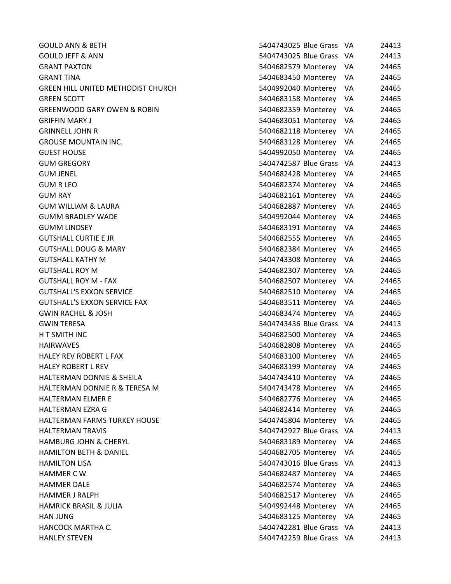**GOULD ANN & BETH GOULD JEFF & ANN GRANT PAXTON** GRANT TINA 5404683450 Monterey VA 24465 GREEN HILL UNITED METHODIST CHURCH **GREEN SCOTT** GREENWOOD GARY OWEN & ROBIN **GRIFFIN MARY J GRINNELL JOHN R GROUSE MOUNTAIN INC. GUEST HOUSE GUM GREGORY** GUM JENEL 5404682428 Monterey VA 24465 GUM R LEO 5404682374 Monterey VA 24465 GUM RAY 5404682161 Monterey VA 24465 **GUM WILLIAM & LAURA GUMM BRADLEY WADE GUMM LINDSEY GUTSHALL CURTIE E JR GUTSHALL DOUG & MARY GUTSHALL KATHY M GUTSHALL ROY M GUTSHALL ROY M - FAX GUTSHALL'S EXXON SERVICE** GUTSHALL'S EXXON SERVICE FAX **GWIN RACHEL & JOSH** GWIN TERESA 5404743436 Blue Grass VA 24413 H T SMITH INC HAIRWAVES 5404682808 Monterey VA 24465 HALEY REV ROBERT L FAX **HALEY ROBERT L REV** HALTERMAN DONNIE & SHEILA HALTERMAN DONNIE R & TERESA M **HALTERMAN ELMER E** HALTERMAN EZRA G HALTERMAN FARMS TURKEY HOUSE HALTERMAN TRAVIS HAMBURG JOHN & CHERYL HAMILTON BETH & DANIEL HAMILTON LISA HAMMER C W 5404682487 Monterey VA 24465 **HAMMER DALE** HAMMER J RALPH HAMRICK BRASIL & JULIA HAN JUNG 5404683125 Monterey VA 24465 HANCOCK MARTHA C. HANLEY STEVEN

| 5404743025 Blue Grass | VA | 24413 |
|-----------------------|----|-------|
| 5404743025 Blue Grass | VA | 24413 |
| 5404682579 Monterey   | VA | 24465 |
| 5404683450 Monterey   | VA | 24465 |
| 5404992040 Monterey   | VA | 24465 |
| 5404683158 Monterey   | VA | 24465 |
| 5404682359 Monterey   | VA | 24465 |
| 5404683051 Monterey   | VA | 24465 |
| 5404682118 Monterey   | VA | 24465 |
| 5404683128 Monterey   | VA | 24465 |
| 5404992050 Monterey   | VA | 24465 |
| 5404742587 Blue Grass | VA | 24413 |
| 5404682428 Monterey   | VA | 24465 |
| 5404682374 Monterey   | VA | 24465 |
| 5404682161 Monterey   | VA | 24465 |
| 5404682887 Monterey   | VA | 24465 |
| 5404992044 Monterey   | VA | 24465 |
| 5404683191 Monterey   | VA | 24465 |
| 5404682555 Monterey   | VA | 24465 |
| 5404682384 Monterey   | VA | 24465 |
| 5404743308 Monterey   | VA | 24465 |
| 5404682307 Monterey   | VA | 24465 |
| 5404682507 Monterey   | VA | 24465 |
| 5404682510 Monterey   | VA | 24465 |
| 5404683511 Monterey   | VA | 24465 |
| 5404683474 Monterey   | VA | 24465 |
| 5404743436 Blue Grass | VA | 24413 |
| 5404682500 Monterey   | VA | 24465 |
| 5404682808 Monterey   | VA | 24465 |
| 5404683100 Monterey   | VA | 24465 |
| 5404683199 Monterey   | VA | 24465 |
| 5404743410 Monterey   | VA | 24465 |
| 5404743478 Monterey   | VA | 24465 |
| 5404682776 Monterey   | VA | 24465 |
| 5404682414 Monterey   | VA | 24465 |
| 5404745804 Monterey   | VA | 24465 |
| 5404742927 Blue Grass | VA | 24413 |
| 5404683189 Monterey   | VA | 24465 |
| 5404682705 Monterey   | VA | 24465 |
| 5404743016 Blue Grass | VA | 24413 |
| 5404682487 Monterey   | VA | 24465 |
| 5404682574 Monterey   | VA | 24465 |
| 5404682517 Monterey   | VA | 24465 |
| 5404992448 Monterey   | VA | 24465 |
| 5404683125 Monterey   | VA | 24465 |
| 5404742281 Blue Grass | VA | 24413 |
| 5404742259 Blue Grass | VA | 24413 |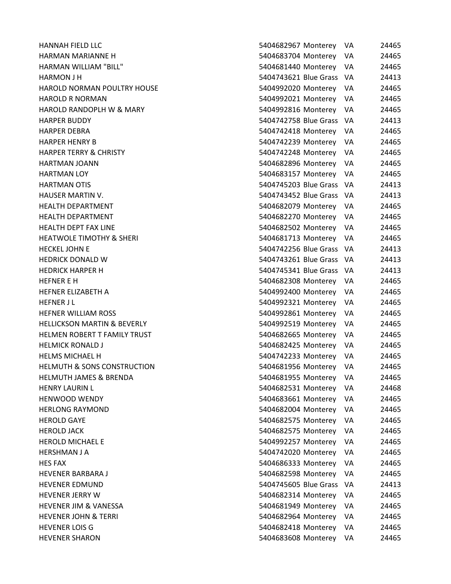| <b>HANNAH FIELD LLC</b>                | 5404682967 Monterey<br>VA     | 24465 |
|----------------------------------------|-------------------------------|-------|
| <b>HARMAN MARIANNE H</b>               | 5404683704 Monterey<br>VA     | 24465 |
| <b>HARMAN WILLIAM "BILL"</b>           | 5404681440 Monterey<br>VA     | 24465 |
| <b>HARMON J H</b>                      | 5404743621 Blue Grass<br>- VA | 24413 |
| <b>HAROLD NORMAN POULTRY HOUSE</b>     | 5404992020 Monterey<br>VA     | 24465 |
| <b>HAROLD R NORMAN</b>                 | 5404992021 Monterey<br>VA.    | 24465 |
| <b>HAROLD RANDOPLH W &amp; MARY</b>    | 5404992816 Monterey<br>VA.    | 24465 |
| <b>HARPER BUDDY</b>                    | 5404742758 Blue Grass VA      | 24413 |
| <b>HARPER DEBRA</b>                    | 5404742418 Monterey<br>VA     | 24465 |
| <b>HARPER HENRY B</b>                  | 5404742239 Monterey<br>VA     | 24465 |
| <b>HARPER TERRY &amp; CHRISTY</b>      | 5404742248 Monterey<br>VA     | 24465 |
| <b>HARTMAN JOANN</b>                   | 5404682896 Monterey<br>VA     | 24465 |
| <b>HARTMAN LOY</b>                     | 5404683157 Monterey VA        | 24465 |
| <b>HARTMAN OTIS</b>                    | 5404745203 Blue Grass<br>- VA | 24413 |
| HAUSER MARTIN V.                       | 5404743452 Blue Grass<br>- VA | 24413 |
| <b>HEALTH DEPARTMENT</b>               | 5404682079 Monterey<br>VA     | 24465 |
| <b>HEALTH DEPARTMENT</b>               | 5404682270 Monterey<br>VA     | 24465 |
| <b>HEALTH DEPT FAX LINE</b>            | 5404682502 Monterey VA        | 24465 |
| <b>HEATWOLE TIMOTHY &amp; SHERI</b>    | 5404681713 Monterey<br>VA     | 24465 |
| <b>HECKEL JOHN E</b>                   | 5404742256 Blue Grass VA      | 24413 |
| <b>HEDRICK DONALD W</b>                | 5404743261 Blue Grass VA      | 24413 |
| <b>HEDRICK HARPER H</b>                | 5404745341 Blue Grass VA      | 24413 |
| <b>HEFNER E H</b>                      | 5404682308 Monterey<br>VA     | 24465 |
| HEFNER ELIZABETH A                     | 5404992400 Monterey<br>VA     | 24465 |
| <b>HEFNER JL</b>                       | 5404992321 Monterey<br>VA     | 24465 |
| <b>HEFNER WILLIAM ROSS</b>             | 5404992861 Monterey<br>VA     | 24465 |
| <b>HELLICKSON MARTIN &amp; BEVERLY</b> | 5404992519 Monterey<br>VA     | 24465 |
| HELMEN ROBERT T FAMILY TRUST           | 5404682665 Monterey<br>VA     | 24465 |
| <b>HELMICK RONALD J</b>                | 5404682425 Monterey<br>VA     | 24465 |
| <b>HELMS MICHAEL H</b>                 | 5404742233 Monterey<br>VA     | 24465 |
| <b>HELMUTH &amp; SONS CONSTRUCTION</b> | 5404681956 Monterey<br>VA     | 24465 |
| <b>HELMUTH JAMES &amp; BRENDA</b>      | 5404681955 Monterey<br>VA     | 24465 |
| <b>HENRY LAURIN L</b>                  | 5404682531 Monterey<br>VA     | 24468 |
| <b>HENWOOD WENDY</b>                   | 5404683661 Monterey<br>VA     | 24465 |
| <b>HERLONG RAYMOND</b>                 | 5404682004 Monterey<br>VA     | 24465 |
| <b>HEROLD GAYE</b>                     | 5404682575 Monterey<br>VA     | 24465 |
| <b>HEROLD JACK</b>                     | 5404682575 Monterey<br>VA     | 24465 |
| <b>HEROLD MICHAEL E</b>                | 5404992257 Monterey<br>VA     | 24465 |
| <b>HERSHMAN J A</b>                    | 5404742020 Monterey<br>VA     | 24465 |
| <b>HES FAX</b>                         | 5404686333 Monterey<br>VA     | 24465 |
| <b>HEVENER BARBARA J</b>               | 5404682598 Monterey<br>VA     | 24465 |
| <b>HEVENER EDMUND</b>                  | 5404745605 Blue Grass<br>VA   | 24413 |
| <b>HEVENER JERRY W</b>                 | 5404682314 Monterey<br>VA     | 24465 |
| <b>HEVENER JIM &amp; VANESSA</b>       | 5404681949 Monterey<br>VA.    | 24465 |
| <b>HEVENER JOHN &amp; TERRI</b>        | 5404682964 Monterey<br>VA     | 24465 |
| <b>HEVENER LOIS G</b>                  | 5404682418 Monterey<br>VA     | 24465 |
| <b>HEVENER SHARON</b>                  | 5404683608 Monterey<br>VA     | 24465 |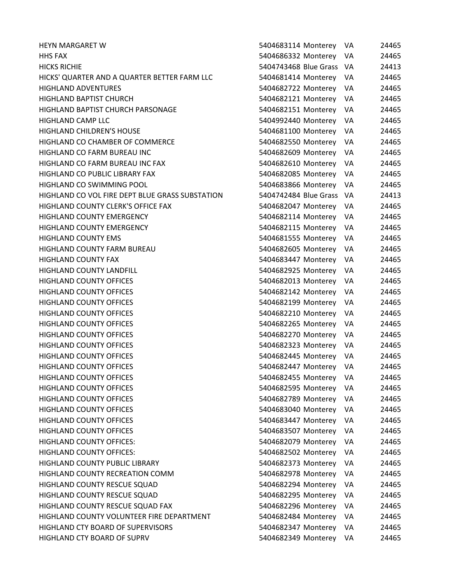| <b>HEYN MARGARET W</b>                          | 5404683114 Monterey      | VA           | 24465 |
|-------------------------------------------------|--------------------------|--------------|-------|
| <b>HHS FAX</b>                                  | 5404686332 Monterey      | VA           | 24465 |
| <b>HICKS RICHIE</b>                             | 5404743468 Blue Grass VA |              | 24413 |
| HICKS' QUARTER AND A QUARTER BETTER FARM LLC    | 5404681414 Monterey      | VA           | 24465 |
| <b>HIGHLAND ADVENTURES</b>                      | 5404682722 Monterey      | VA           | 24465 |
| HIGHLAND BAPTIST CHURCH                         | 5404682121 Monterey      | VA           | 24465 |
| HIGHLAND BAPTIST CHURCH PARSONAGE               | 5404682151 Monterey      | VA           | 24465 |
| <b>HIGHLAND CAMP LLC</b>                        | 5404992440 Monterey      | VA           | 24465 |
| <b>HIGHLAND CHILDREN'S HOUSE</b>                | 5404681100 Monterey      | VA           | 24465 |
| HIGHLAND CO CHAMBER OF COMMERCE                 | 5404682550 Monterey      | VA           | 24465 |
| HIGHLAND CO FARM BUREAU INC                     | 5404682609 Monterey      | VA           | 24465 |
| HIGHLAND CO FARM BUREAU INC FAX                 | 5404682610 Monterey      | VA           | 24465 |
| HIGHLAND CO PUBLIC LIBRARY FAX                  | 5404682085 Monterey      | 24465<br>VA. |       |
| HIGHLAND CO SWIMMING POOL                       | 5404683866 Monterey      | VA           | 24465 |
| HIGHLAND CO VOL FIRE DEPT BLUE GRASS SUBSTATION | 5404742484 Blue Grass    | - VA         | 24413 |
| <b>HIGHLAND COUNTY CLERK'S OFFICE FAX</b>       | 5404682047 Monterey      | VA           | 24465 |
| <b>HIGHLAND COUNTY EMERGENCY</b>                | 5404682114 Monterey      | VA           | 24465 |
| <b>HIGHLAND COUNTY EMERGENCY</b>                | 5404682115 Monterey      | VA           | 24465 |
| <b>HIGHLAND COUNTY EMS</b>                      | 5404681555 Monterey      | VA           | 24465 |
| <b>HIGHLAND COUNTY FARM BUREAU</b>              | 5404682605 Monterey      | VA.          | 24465 |
| <b>HIGHLAND COUNTY FAX</b>                      | 5404683447 Monterey      | VA           | 24465 |
| HIGHLAND COUNTY LANDFILL                        | 5404682925 Monterey      | VA           | 24465 |
| <b>HIGHLAND COUNTY OFFICES</b>                  | 5404682013 Monterey      | VA           | 24465 |
| <b>HIGHLAND COUNTY OFFICES</b>                  | 5404682142 Monterey      | VA           | 24465 |
| <b>HIGHLAND COUNTY OFFICES</b>                  | 5404682199 Monterey      | VA           | 24465 |
| <b>HIGHLAND COUNTY OFFICES</b>                  | 5404682210 Monterey      | VA           | 24465 |
| <b>HIGHLAND COUNTY OFFICES</b>                  | 5404682265 Monterey      | VA           | 24465 |
| <b>HIGHLAND COUNTY OFFICES</b>                  | 5404682270 Monterey      | VA           | 24465 |
| <b>HIGHLAND COUNTY OFFICES</b>                  | 5404682323 Monterey      | VA           | 24465 |
| <b>HIGHLAND COUNTY OFFICES</b>                  | 5404682445 Monterey      | VA           | 24465 |
| <b>HIGHLAND COUNTY OFFICES</b>                  | 5404682447 Monterey      | VA           | 24465 |
| <b>HIGHLAND COUNTY OFFICES</b>                  | 5404682455 Monterey      | VA           | 24465 |
| <b>HIGHLAND COUNTY OFFICES</b>                  | 5404682595 Monterey      | VA           | 24465 |
| <b>HIGHLAND COUNTY OFFICES</b>                  | 5404682789 Monterey      | VA           | 24465 |
| <b>HIGHLAND COUNTY OFFICES</b>                  | 5404683040 Monterey      | VA           | 24465 |
| <b>HIGHLAND COUNTY OFFICES</b>                  | 5404683447 Monterey      | VA           | 24465 |
| <b>HIGHLAND COUNTY OFFICES</b>                  | 5404683507 Monterey      | VA           | 24465 |
| <b>HIGHLAND COUNTY OFFICES:</b>                 | 5404682079 Monterey      | VA           | 24465 |
| <b>HIGHLAND COUNTY OFFICES:</b>                 | 5404682502 Monterey      | VA           | 24465 |
| HIGHLAND COUNTY PUBLIC LIBRARY                  | 5404682373 Monterey      | VA           | 24465 |
| HIGHLAND COUNTY RECREATION COMM                 | 5404682978 Monterey      | VA           | 24465 |
| HIGHLAND COUNTY RESCUE SQUAD                    | 5404682294 Monterey      | VA           | 24465 |
| HIGHLAND COUNTY RESCUE SQUAD                    | 5404682295 Monterey      | VA           | 24465 |
| HIGHLAND COUNTY RESCUE SQUAD FAX                | 5404682296 Monterey      | VA           | 24465 |
| HIGHLAND COUNTY VOLUNTEER FIRE DEPARTMENT       | 5404682484 Monterey      | VA           | 24465 |
| HIGHLAND CTY BOARD OF SUPERVISORS               | 5404682347 Monterey      | VA           | 24465 |
| HIGHLAND CTY BOARD OF SUPRV                     | 5404682349 Monterey      | VA           | 24465 |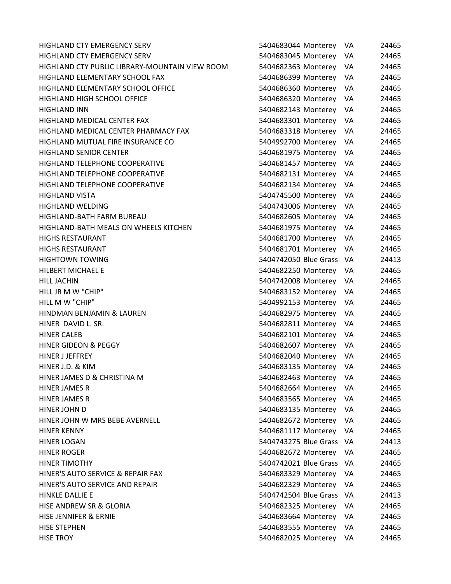| <b>HIGHLAND CTY EMERGENCY SERV</b>             | 5404683044 Monterey      | VA.  | 24465 |
|------------------------------------------------|--------------------------|------|-------|
| <b>HIGHLAND CTY EMERGENCY SERV</b>             | 5404683045 Monterey      | VA   | 24465 |
| HIGHLAND CTY PUBLIC LIBRARY-MOUNTAIN VIEW ROOM | 5404682363 Monterey      | VA   | 24465 |
| HIGHLAND ELEMENTARY SCHOOL FAX                 | 5404686399 Monterey VA   |      | 24465 |
| HIGHLAND ELEMENTARY SCHOOL OFFICE              | 5404686360 Monterey      | VA   | 24465 |
| <b>HIGHLAND HIGH SCHOOL OFFICE</b>             | 5404686320 Monterey VA   |      | 24465 |
| <b>HIGHLAND INN</b>                            | 5404682143 Monterey VA   |      | 24465 |
| HIGHLAND MEDICAL CENTER FAX                    | 5404683301 Monterey      | VA   | 24465 |
| HIGHLAND MEDICAL CENTER PHARMACY FAX           | 5404683318 Monterey      | VA.  | 24465 |
| HIGHLAND MUTUAL FIRE INSURANCE CO              | 5404992700 Monterey      | VA   | 24465 |
| <b>HIGHLAND SENIOR CENTER</b>                  | 5404681975 Monterey VA   |      | 24465 |
| HIGHLAND TELEPHONE COOPERATIVE                 | 5404681457 Monterey      | VA   | 24465 |
| HIGHLAND TELEPHONE COOPERATIVE                 | 5404682131 Monterey VA   |      | 24465 |
| HIGHLAND TELEPHONE COOPERATIVE                 | 5404682134 Monterey      | VA.  | 24465 |
| <b>HIGHLAND VISTA</b>                          | 5404745500 Monterey      | VA   | 24465 |
| <b>HIGHLAND WELDING</b>                        | 5404743006 Monterey VA   |      | 24465 |
| HIGHLAND-BATH FARM BUREAU                      | 5404682605 Monterey      | VA   | 24465 |
| HIGHLAND-BATH MEALS ON WHEELS KITCHEN          | 5404681975 Monterey VA   |      | 24465 |
| <b>HIGHS RESTAURANT</b>                        | 5404681700 Monterey      | VA.  | 24465 |
| <b>HIGHS RESTAURANT</b>                        | 5404681701 Monterey VA   |      | 24465 |
| <b>HIGHTOWN TOWING</b>                         | 5404742050 Blue Grass VA |      | 24413 |
| HILBERT MICHAEL E                              | 5404682250 Monterey      | VA   | 24465 |
| <b>HILL JACHIN</b>                             | 5404742008 Monterey VA   |      | 24465 |
| HILL JR M W "CHIP"                             | 5404683152 Monterey      | VA   | 24465 |
| HILL M W "CHIP"                                | 5404992153 Monterey VA   |      | 24465 |
| HINDMAN BENJAMIN & LAUREN                      | 5404682975 Monterey VA   |      | 24465 |
| HINER DAVID L. SR.                             | 5404682811 Monterey      | VA.  | 24465 |
| <b>HINER CALEB</b>                             | 5404682101 Monterey      | VA   | 24465 |
| <b>HINER GIDEON &amp; PEGGY</b>                | 5404682607 Monterey      | VA   | 24465 |
| <b>HINER J JEFFREY</b>                         | 5404682040 Monterey VA   |      | 24465 |
| HINER J.D. & KIM                               | 5404683135 Monterey      | VA   | 24465 |
| HINER JAMES D & CHRISTINA M                    | 5404682463 Monterey      | VA   | 24465 |
| HINER JAMES R                                  | 5404682664 Monterey      | VA   | 24465 |
| HINER JAMES R                                  | 5404683565 Monterey      | VA.  | 24465 |
| HINER JOHN D                                   | 5404683135 Monterey      | VA.  | 24465 |
| HINER JOHN W MRS BEBE AVERNELL                 | 5404682672 Monterey      | VA.  | 24465 |
| <b>HINER KENNY</b>                             | 5404681117 Monterey VA   |      | 24465 |
| <b>HINER LOGAN</b>                             | 5404743275 Blue Grass VA |      | 24413 |
| <b>HINER ROGER</b>                             | 5404682672 Monterey      | VA.  | 24465 |
| <b>HINER TIMOTHY</b>                           | 5404742021 Blue Grass    | - VA | 24465 |
| HINER'S AUTO SERVICE & REPAIR FAX              | 5404683329 Monterey      | VA.  | 24465 |
| HINER'S AUTO SERVICE AND REPAIR                | 5404682329 Monterey VA   |      | 24465 |
| HINKLE DALLIE E                                | 5404742504 Blue Grass VA |      | 24413 |
| HISE ANDREW SR & GLORIA                        | 5404682325 Monterey      | VA.  | 24465 |
| HISE JENNIFER & ERNIE                          | 5404683664 Monterey      | VA.  | 24465 |
| <b>HISE STEPHEN</b>                            | 5404683555 Monterey      | VA   | 24465 |
| <b>HISE TROY</b>                               | 5404682025 Monterey      | - VA | 24465 |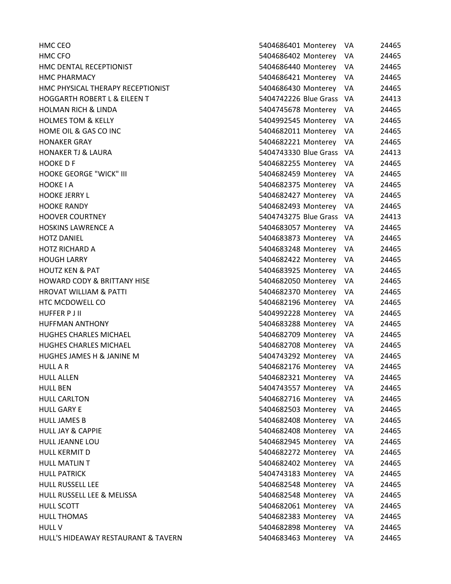| HMC CEO                                 | 5404686401 Monterey   | VA   | 24465 |
|-----------------------------------------|-----------------------|------|-------|
| HMC CFO                                 | 5404686402 Monterey   | VA   | 24465 |
| HMC DENTAL RECEPTIONIST                 | 5404686440 Monterey   | VA   | 24465 |
| <b>HMC PHARMACY</b>                     | 5404686421 Monterey   | VA.  | 24465 |
| HMC PHYSICAL THERAPY RECEPTIONIST       | 5404686430 Monterey   | VA   | 24465 |
| <b>HOGGARTH ROBERT L &amp; EILEEN T</b> | 5404742226 Blue Grass | - VA | 24413 |
| <b>HOLMAN RICH &amp; LINDA</b>          | 5404745678 Monterey   | VA   | 24465 |
| <b>HOLMES TOM &amp; KELLY</b>           | 5404992545 Monterey   | VA.  | 24465 |
| HOME OIL & GAS CO INC                   | 5404682011 Monterey   | VA   | 24465 |
| <b>HONAKER GRAY</b>                     | 5404682221 Monterey   | VA   | 24465 |
| <b>HONAKER TJ &amp; LAURA</b>           | 5404743330 Blue Grass | - VA | 24413 |
| <b>HOOKEDF</b>                          | 5404682255 Monterey   | VA   | 24465 |
| <b>HOOKE GEORGE "WICK" III</b>          | 5404682459 Monterey   | VA   | 24465 |
| <b>HOOKE I A</b>                        | 5404682375 Monterey   | VA.  | 24465 |
| <b>HOOKE JERRY L</b>                    | 5404682427 Monterey   | VA   | 24465 |
| <b>HOOKE RANDY</b>                      | 5404682493 Monterey   | VA   | 24465 |
| <b>HOOVER COURTNEY</b>                  | 5404743275 Blue Grass | - VA | 24413 |
| <b>HOSKINS LAWRENCE A</b>               | 5404683057 Monterey   | VA   | 24465 |
| <b>HOTZ DANIEL</b>                      | 5404683873 Monterey   | VA   | 24465 |
| <b>HOTZ RICHARD A</b>                   | 5404683248 Monterey   | VA   | 24465 |
| <b>HOUGH LARRY</b>                      | 5404682422 Monterey   | VA   | 24465 |
| <b>HOUTZ KEN &amp; PAT</b>              | 5404683925 Monterey   | VA   | 24465 |
| <b>HOWARD CODY &amp; BRITTANY HISE</b>  | 5404682050 Monterey   | VA   | 24465 |
| <b>HROVAT WILLIAM &amp; PATTI</b>       | 5404682370 Monterey   | VA   | 24465 |
| HTC MCDOWELL CO                         | 5404682196 Monterey   | VA   | 24465 |
| <b>HUFFER PJII</b>                      | 5404992228 Monterey   | VA   | 24465 |
| <b>HUFFMAN ANTHONY</b>                  | 5404683288 Monterey   | VA.  | 24465 |
| <b>HUGHES CHARLES MICHAEL</b>           | 5404682709 Monterey   | VA   | 24465 |
| <b>HUGHES CHARLES MICHAEL</b>           | 5404682708 Monterey   | VA   | 24465 |
| <b>HUGHES JAMES H &amp; JANINE M</b>    | 5404743292 Monterey   | VA   | 24465 |
| <b>HULL A R</b>                         | 5404682176 Monterey   | VA   | 24465 |
| <b>HULL ALLEN</b>                       | 5404682321 Monterey   | VA   | 24465 |
| <b>HULL BEN</b>                         | 5404743557 Monterey   | VA   | 24465 |
| <b>HULL CARLTON</b>                     | 5404682716 Monterey   | VA   | 24465 |
| <b>HULL GARY E</b>                      | 5404682503 Monterey   | VA   | 24465 |
| <b>HULL JAMES B</b>                     | 5404682408 Monterey   | VA   | 24465 |
| <b>HULL JAY &amp; CAPPIE</b>            | 5404682408 Monterey   | VA   | 24465 |
| <b>HULL JEANNE LOU</b>                  | 5404682945 Monterey   | VA   | 24465 |
| <b>HULL KERMIT D</b>                    | 5404682272 Monterey   | VA   | 24465 |
| <b>HULL MATLIN T</b>                    | 5404682402 Monterey   | VA   | 24465 |
| <b>HULL PATRICK</b>                     | 5404743183 Monterey   | VA   | 24465 |
| <b>HULL RUSSELL LEE</b>                 | 5404682548 Monterey   | VA   | 24465 |
| HULL RUSSELL LEE & MELISSA              | 5404682548 Monterey   | VA   | 24465 |
| HULL SCOTT                              | 5404682061 Monterey   | VA   | 24465 |
| <b>HULL THOMAS</b>                      | 5404682383 Monterey   | VA   | 24465 |
| <b>HULL V</b>                           | 5404682898 Monterey   | VA   | 24465 |
| HULL'S HIDEAWAY RESTAURANT & TAVERN     | 5404683463 Monterey   | VA   | 24465 |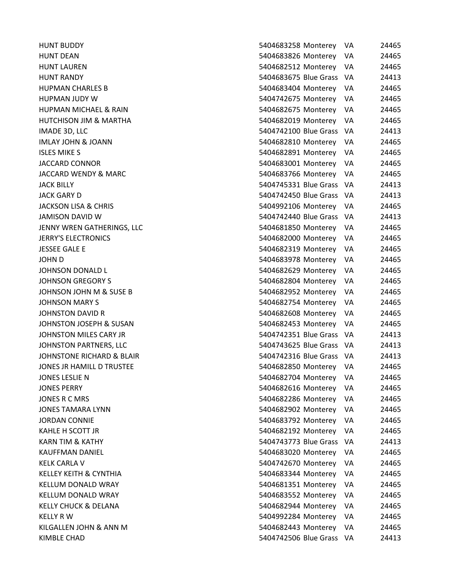| <b>HUNT BUDDY</b>          | 5404683258 Monterey      | VA   | 24465 |
|----------------------------|--------------------------|------|-------|
| HUNT DEAN                  | 5404683826 Monterey      | VA   | 24465 |
| HUNT LAUREN                | 5404682512 Monterey VA   |      | 24465 |
| HUNT RANDY                 | 5404683675 Blue Grass VA |      | 24413 |
| HUPMAN CHARLES B           | 5404683404 Monterey      | VA   | 24465 |
| HUPMAN JUDY W              | 5404742675 Monterey VA   |      | 24465 |
| HUPMAN MICHAEL & RAIN      | 5404682675 Monterey      | VA   | 24465 |
| HUTCHISON JIM & MARTHA     | 5404682019 Monterey VA   |      | 24465 |
| IMADE 3D, LLC              | 5404742100 Blue Grass VA |      | 24413 |
| IMLAY JOHN & JOANN         | 5404682810 Monterey      | VA   | 24465 |
| ISLES MIKE S               | 5404682891 Monterey VA   |      | 24465 |
| JACCARD CONNOR             | 5404683001 Monterey VA   |      | 24465 |
| JACCARD WENDY & MARC       | 5404683766 Monterey VA   |      | 24465 |
| <b>JACK BILLY</b>          | 5404745331 Blue Grass VA |      | 24413 |
| JACK GARY D                | 5404742450 Blue Grass VA |      | 24413 |
| JACKSON LISA & CHRIS       | 5404992106 Monterey VA   |      | 24465 |
| JAMISON DAVID W            | 5404742440 Blue Grass VA |      | 24413 |
| JENNY WREN GATHERINGS, LLC | 5404681850 Monterey VA   |      | 24465 |
| <b>JERRY'S ELECTRONICS</b> | 5404682000 Monterey      | VA   | 24465 |
| <b>JESSEE GALE E</b>       | 5404682319 Monterey VA   |      | 24465 |
| JOHN D                     | 5404683978 Monterey VA   |      | 24465 |
| JOHNSON DONALD L           | 5404682629 Monterey VA   |      | 24465 |
| JOHNSON GREGORY S          | 5404682804 Monterey      | VA.  | 24465 |
| JOHNSON JOHN M & SUSE B    | 5404682952 Monterey      | VA   | 24465 |
| JOHNSON MARY S             | 5404682754 Monterey VA   |      | 24465 |
| JOHNSTON DAVID R           | 5404682608 Monterey      | VA.  | 24465 |
| JOHNSTON JOSEPH & SUSAN    | 5404682453 Monterey VA   |      | 24465 |
| JOHNSTON MILES CARY JR     | 5404742351 Blue Grass VA |      | 24413 |
| JOHNSTON PARTNERS, LLC     | 5404743625 Blue Grass VA |      | 24413 |
| JOHNSTONE RICHARD & BLAIR  | 5404742316 Blue Grass VA |      | 24413 |
| JONES JR HAMILL D TRUSTEE  | 5404682850 Monterey VA   |      | 24465 |
| JONES LESLIE N             | 5404682704 Monterey      | VA   | 24465 |
| JONES PERRY                | 5404682616 Monterey      | VA   | 24465 |
| JONES R C MRS              | 5404682286 Monterey      | VA   | 24465 |
| JONES TAMARA LYNN          | 5404682902 Monterey      | VA.  | 24465 |
| JORDAN CONNIE              | 5404683792 Monterey      | VA   | 24465 |
| KAHLE H SCOTT JR           | 5404682192 Monterey      | VA   | 24465 |
| KARN TIM & KATHY           | 5404743773 Blue Grass    | - VA | 24413 |
| KAUFFMAN DANIEL            | 5404683020 Monterey      | VA   | 24465 |
| KELK CARLA V               | 5404742670 Monterey      | VA   | 24465 |
| KELLEY KEITH & CYNTHIA     | 5404683344 Monterey      | VA   | 24465 |
| KELLUM DONALD WRAY         | 5404681351 Monterey      | VA   | 24465 |
| KELLUM DONALD WRAY         | 5404683552 Monterey      | VA   | 24465 |
| KELLY CHUCK & DELANA       | 5404682944 Monterey      | VA   | 24465 |
| KELLY R W                  | 5404992284 Monterey      | VA   | 24465 |
| KILGALLEN JOHN & ANN M     | 5404682443 Monterey      | VA   | 24465 |
| KIMBLE CHAD                | 5404742506 Blue Grass VA |      | 24413 |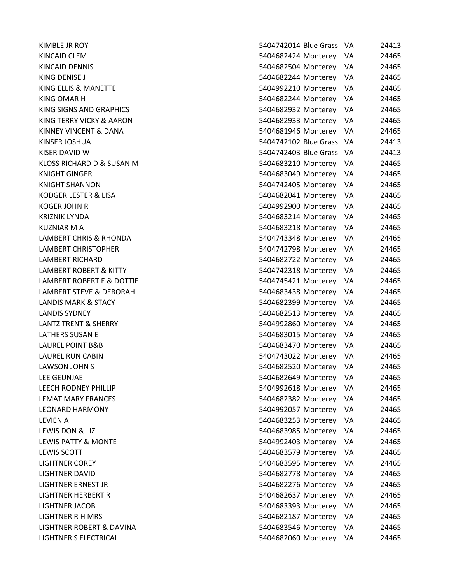| KIMBLE JR ROY                   | 5404742014 Blue Grass    | - VA | 24413 |
|---------------------------------|--------------------------|------|-------|
| KINCAID CLEM                    | 5404682424 Monterey      | VA.  | 24465 |
| KINCAID DENNIS                  | 5404682504 Monterey VA   |      | 24465 |
| KING DENISE J                   | 5404682244 Monterey      | VA   | 24465 |
| KING ELLIS & MANETTE            | 5404992210 Monterey VA   |      | 24465 |
| KING OMAR H                     | 5404682244 Monterey      | - VA | 24465 |
| KING SIGNS AND GRAPHICS         | 5404682932 Monterey VA   |      | 24465 |
| KING TERRY VICKY & AARON        | 5404682933 Monterey VA   |      | 24465 |
| KINNEY VINCENT & DANA           | 5404681946 Monterey VA   |      | 24465 |
| KINSER JOSHUA                   | 5404742102 Blue Grass VA |      | 24413 |
| KISER DAVID W                   | 5404742403 Blue Grass VA |      | 24413 |
| KLOSS RICHARD D & SUSAN M       | 5404683210 Monterey VA   |      | 24465 |
| KNIGHT GINGER                   | 5404683049 Monterey      | VA.  | 24465 |
| KNIGHT SHANNON                  | 5404742405 Monterey VA   |      | 24465 |
| KODGER LESTER & LISA            | 5404682041 Monterey VA   |      | 24465 |
| KOGER JOHN R                    | 5404992900 Monterey VA   |      | 24465 |
| KRIZNIK LYNDA                   | 5404683214 Monterey VA   |      | 24465 |
| KUZNIAR M A                     | 5404683218 Monterey      | VA.  | 24465 |
| LAMBERT CHRIS & RHONDA          | 5404743348 Monterey VA   |      | 24465 |
| LAMBERT CHRISTOPHER             | 5404742798 Monterey VA   |      | 24465 |
| LAMBERT RICHARD                 | 5404682722 Monterey VA   |      | 24465 |
| LAMBERT ROBERT & KITTY          | 5404742318 Monterey VA   |      | 24465 |
| LAMBERT ROBERT E & DOTTIE       | 5404745421 Monterey      | VA   | 24465 |
| LAMBERT STEVE & DEBORAH         | 5404683438 Monterey VA   |      | 24465 |
| LANDIS MARK & STACY             | 5404682399 Monterey      | VA.  | 24465 |
| <b>LANDIS SYDNEY</b>            | 5404682513 Monterey VA   |      | 24465 |
| <b>LANTZ TRENT &amp; SHERRY</b> | 5404992860 Monterey      | VA   | 24465 |
| LATHERS SUSAN E                 | 5404683015 Monterey      | - VA | 24465 |
| LAUREL POINT B&B                | 5404683470 Monterey VA   |      | 24465 |
| LAUREL RUN CABIN                | 5404743022 Monterey VA   |      | 24465 |
| LAWSON JOHN S                   | 5404682520 Monterey VA   |      | 24465 |
| LEE GEUNJAE                     | 5404682649 Monterey      | VA   | 24465 |
| LEECH RODNEY PHILLIP            | 5404992618 Monterey      | VA   | 24465 |
| LEMAT MARY FRANCES              | 5404682382 Monterey      | VA   | 24465 |
| <b>LEONARD HARMONY</b>          | 5404992057 Monterey      | VA   | 24465 |
| LEVIEN A                        | 5404683253 Monterey      | VA   | 24465 |
| LEWIS DON & LIZ                 | 5404683985 Monterey      | VA   | 24465 |
| <b>LEWIS PATTY &amp; MONTE</b>  | 5404992403 Monterey      | VA   | 24465 |
| LEWIS SCOTT                     | 5404683579 Monterey      | VA   | 24465 |
| <b>LIGHTNER COREY</b>           | 5404683595 Monterey      | VA   | 24465 |
| <b>LIGHTNER DAVID</b>           | 5404682778 Monterey      | VA   | 24465 |
| LIGHTNER ERNEST JR              | 5404682276 Monterey      | VA   | 24465 |
| LIGHTNER HERBERT R              | 5404682637 Monterey      | VA   | 24465 |
| <b>LIGHTNER JACOB</b>           | 5404683393 Monterey      | VA   | 24465 |
| <b>LIGHTNER R H MRS</b>         | 5404682187 Monterey      | VA   | 24465 |
| LIGHTNER ROBERT & DAVINA        | 5404683546 Monterey      | VA   | 24465 |
| LIGHTNER'S ELECTRICAL           | 5404682060 Monterey      | VA   | 24465 |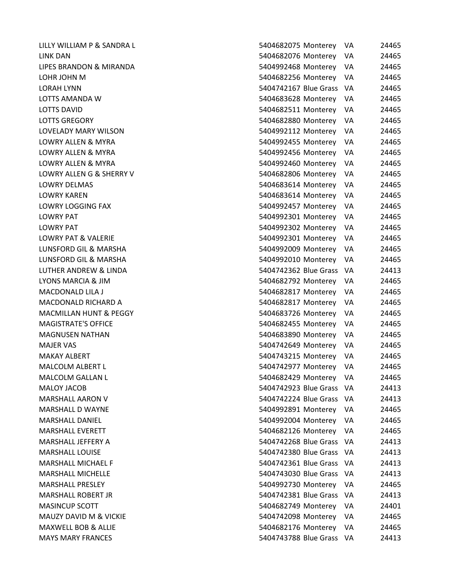| LILLY WILLIAM P & SANDRA L        | 5404682075 Monterey      | VA.  | 24465 |
|-----------------------------------|--------------------------|------|-------|
| LINK DAN                          | 5404682076 Monterey      | VA   | 24465 |
| LIPES BRANDON & MIRANDA           | 5404992468 Monterey      | VA   | 24465 |
| LOHR JOHN M                       | 5404682256 Monterey      | VA   | 24465 |
| <b>LORAH LYNN</b>                 | 5404742167 Blue Grass    | - VA | 24465 |
| LOTTS AMANDA W                    | 5404683628 Monterey      | VA.  | 24465 |
| <b>LOTTS DAVID</b>                | 5404682511 Monterey      | VA   | 24465 |
| <b>LOTTS GREGORY</b>              | 5404682880 Monterey      | VA   | 24465 |
| LOVELADY MARY WILSON              | 5404992112 Monterey      | VA   | 24465 |
| <b>LOWRY ALLEN &amp; MYRA</b>     | 5404992455 Monterey      | VA   | 24465 |
| LOWRY ALLEN & MYRA                | 5404992456 Monterey      | VA   | 24465 |
| LOWRY ALLEN & MYRA                | 5404992460 Monterey      | VA   | 24465 |
| LOWRY ALLENG & SHERRY V           | 5404682806 Monterey      | VA.  | 24465 |
| LOWRY DELMAS                      | 5404683614 Monterey      | VA   | 24465 |
| <b>LOWRY KAREN</b>                | 5404683614 Monterey      | VA   | 24465 |
| <b>LOWRY LOGGING FAX</b>          | 5404992457 Monterey      | VA   | 24465 |
| LOWRY PAT                         | 5404992301 Monterey      | VA   | 24465 |
| <b>LOWRY PAT</b>                  | 5404992302 Monterey      | VA   | 24465 |
| <b>LOWRY PAT &amp; VALERIE</b>    | 5404992301 Monterey      | VA   | 24465 |
| LUNSFORD GIL & MARSHA             | 5404992009 Monterey      | VA.  | 24465 |
| LUNSFORD GIL & MARSHA             | 5404992010 Monterey      | VA   | 24465 |
| LUTHER ANDREW & LINDA             | 5404742362 Blue Grass    | - VA | 24413 |
| LYONS MARCIA & JIM                | 5404682792 Monterey      | VA.  | 24465 |
| <b>MACDONALD LILA J</b>           | 5404682817 Monterey      | VA   | 24465 |
| <b>MACDONALD RICHARD A</b>        | 5404682817 Monterey      | VA   | 24465 |
| <b>MACMILLAN HUNT &amp; PEGGY</b> | 5404683726 Monterey      | VA   | 24465 |
| <b>MAGISTRATE'S OFFICE</b>        | 5404682455 Monterey      | VA   | 24465 |
| <b>MAGNUSEN NATHAN</b>            | 5404683890 Monterey      | VA   | 24465 |
| <b>MAJER VAS</b>                  | 5404742649 Monterey      | VA   | 24465 |
| <b>MAKAY ALBERT</b>               | 5404743215 Monterey      | VA   | 24465 |
| MALCOLM ALBERT L                  | 5404742977 Monterey      | VA   | 24465 |
| <b>MALCOLM GALLAN L</b>           | 5404682429 Monterey      | VA.  | 24465 |
| <b>MALOY JACOB</b>                | 5404742923 Blue Grass    | - VA | 24413 |
| MARSHALL AARON V                  | 5404742224 Blue Grass    | - VA | 24413 |
| <b>MARSHALL D WAYNE</b>           | 5404992891 Monterey      | VA   | 24465 |
| <b>MARSHALL DANIEL</b>            | 5404992004 Monterey      | VA   | 24465 |
| <b>MARSHALL EVERETT</b>           | 5404682126 Monterey      | VA   | 24465 |
| MARSHALL JEFFERY A                | 5404742268 Blue Grass    | - VA | 24413 |
| <b>MARSHALL LOUISE</b>            | 5404742380 Blue Grass    | - VA | 24413 |
| MARSHALL MICHAEL F                | 5404742361 Blue Grass    | - VA | 24413 |
| <b>MARSHALL MICHELLE</b>          | 5404743030 Blue Grass    | VA.  | 24413 |
| <b>MARSHALL PRESLEY</b>           | 5404992730 Monterey      | -VA  | 24465 |
| MARSHALL ROBERT JR                | 5404742381 Blue Grass    | - VA | 24413 |
| <b>MASINCUP SCOTT</b>             | 5404682749 Monterey      | VA   | 24401 |
| MAUZY DAVID M & VICKIE            | 5404742098 Monterey      | VA.  | 24465 |
| MAXWELL BOB & ALLIE               | 5404682176 Monterey      | VA   | 24465 |
| <b>MAYS MARY FRANCES</b>          | 5404743788 Blue Grass VA |      | 24413 |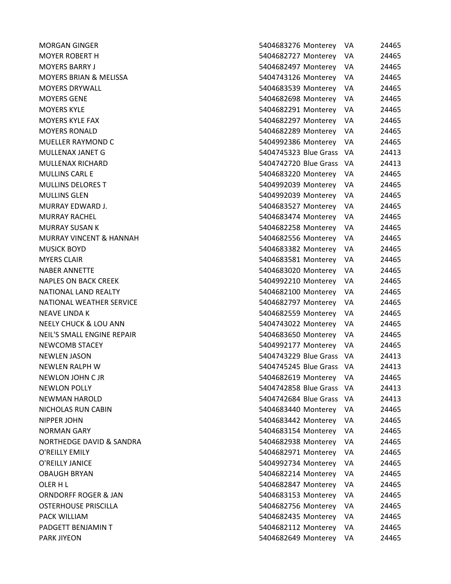| MORGAN GINGER              | 5404683276 Monterey      | VA  | 24465 |
|----------------------------|--------------------------|-----|-------|
| <b>MOYER ROBERT H</b>      | 5404682727 Monterey      | VA  | 24465 |
| MOYERS BARRY J             | 5404682497 Monterey      | VA. | 24465 |
| MOYERS BRIAN & MELISSA     | 5404743126 Monterey      | VA. | 24465 |
| <b>MOYERS DRYWALL</b>      | 5404683539 Monterey VA   |     | 24465 |
| MOYERS GENE                | 5404682698 Monterey VA   |     | 24465 |
| <b>MOYERS KYLE</b>         | 5404682291 Monterey      | VA. | 24465 |
| MOYERS KYLE FAX            | 5404682297 Monterey      | VA  | 24465 |
| <b>MOYERS RONALD</b>       | 5404682289 Monterey      | VA  | 24465 |
| MUELLER RAYMOND C          | 5404992386 Monterey VA   |     | 24465 |
| MULLENAX JANET G           | 5404745323 Blue Grass VA |     | 24413 |
| MULLENAX RICHARD           | 5404742720 Blue Grass VA |     | 24413 |
| MULLINS CARL E             | 5404683220 Monterey      | VA. | 24465 |
| MULLINS DELORES T          | 5404992039 Monterey      | VA. | 24465 |
| MULLINS GLEN               | 5404992039 Monterey VA   |     | 24465 |
| MURRAY EDWARD J.           | 5404683527 Monterey      | VA  | 24465 |
| MURRAY RACHEL              | 5404683474 Monterey VA   |     | 24465 |
| MURRAY SUSAN K             | 5404682258 Monterey      | VA. | 24465 |
| MURRAY VINCENT & HANNAH    | 5404682556 Monterey VA   |     | 24465 |
| MUSICK BOYD                | 5404683382 Monterey VA   |     | 24465 |
| <b>MYERS CLAIR</b>         | 5404683581 Monterey VA   |     | 24465 |
| NABER ANNETTE              | 5404683020 Monterey VA   |     | 24465 |
| NAPLES ON BACK CREEK       | 5404992210 Monterey      | VA  | 24465 |
| NATIONAL LAND REALTY       | 5404682100 Monterey VA   |     | 24465 |
| NATIONAL WEATHER SERVICE   | 5404682797 Monterey VA   |     | 24465 |
| NEAVE LINDA K              | 5404682559 Monterey      | VA. | 24465 |
| NEELY CHUCK & LOU ANN      | 5404743022 Monterey VA   |     | 24465 |
| NEIL'S SMALL ENGINE REPAIR | 5404683650 Monterey      | VA. | 24465 |
| <b>NEWCOMB STACEY</b>      | 5404992177 Monterey VA   |     | 24465 |
| NEWLEN JASON               | 5404743229 Blue Grass VA |     | 24413 |
| NEWLEN RALPH W             | 5404745245 Blue Grass VA |     | 24413 |
| NEWLON JOHN C JR           | 5404682619 Monterey      | VA. | 24465 |
| <b>NEWLON POLLY</b>        | 5404742858 Blue Grass VA |     | 24413 |
| NEWMAN HAROLD              | 5404742684 Blue Grass VA |     | 24413 |
| NICHOLAS RUN CABIN         | 5404683440 Monterey      | VA  | 24465 |
| NIPPER JOHN                | 5404683442 Monterey      | VA  | 24465 |
| NORMAN GARY                | 5404683154 Monterey      | VA  | 24465 |
| NORTHEDGE DAVID & SANDRA   | 5404682938 Monterey      | VA. | 24465 |
| O'REILLY EMILY             | 5404682971 Monterey      | VA  | 24465 |
| O'REILLY JANICE            | 5404992734 Monterey      | VA  | 24465 |
| OBAUGH BRYAN               | 5404682214 Monterey      | VA  | 24465 |
| OLER H L                   | 5404682847 Monterey      | VA  | 24465 |
| ORNDORFF ROGER & JAN       | 5404683153 Monterey      | VA  | 24465 |
| OSTERHOUSE PRISCILLA       | 5404682756 Monterey      | VA  | 24465 |
| PACK WILLIAM               | 5404682435 Monterey      | VA  | 24465 |
| PADGETT BENJAMIN T         | 5404682112 Monterey      | VA  | 24465 |
| PARK JIYEON                | 5404682649 Monterey      | VA  | 24465 |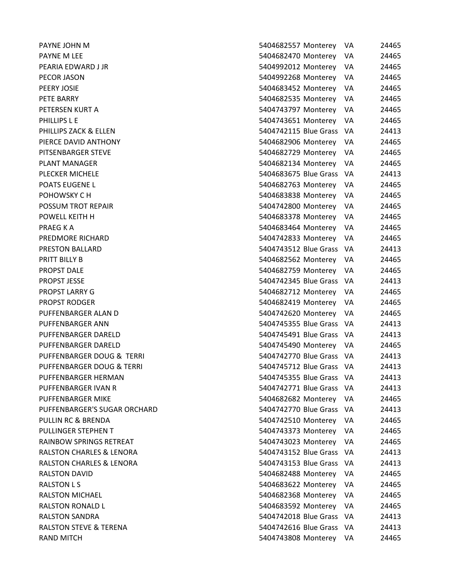| PAYNE JOHN M                        | 5404682557 Monterey      | VA   | 24465 |
|-------------------------------------|--------------------------|------|-------|
| PAYNE M LEE                         | 5404682470 Monterey      | VA   | 24465 |
| PEARIA EDWARD J JR                  | 5404992012 Monterey      | VA.  | 24465 |
| PECOR JASON                         | 5404992268 Monterey      | VA   | 24465 |
| PEERY JOSIE                         | 5404683452 Monterey      | VA   | 24465 |
| PETE BARRY                          | 5404682535 Monterey      | VA.  | 24465 |
| PETERSEN KURT A                     | 5404743797 Monterey VA   |      | 24465 |
| PHILLIPS L E                        | 5404743651 Monterey VA   |      | 24465 |
| PHILLIPS ZACK & ELLEN               | 5404742115 Blue Grass VA |      | 24413 |
| PIERCE DAVID ANTHONY                | 5404682906 Monterey VA   |      | 24465 |
| PITSENBARGER STEVE                  | 5404682729 Monterey VA   |      | 24465 |
| PLANT MANAGER                       | 5404682134 Monterey VA   |      | 24465 |
| PLECKER MICHELE                     | 5404683675 Blue Grass VA |      | 24413 |
| POATS EUGENE L                      | 5404682763 Monterey      | VA   | 24465 |
| POHOWSKY C H                        | 5404683838 Monterey VA   |      | 24465 |
| POSSUM TROT REPAIR                  | 5404742800 Monterey      | VA   | 24465 |
| POWELL KEITH H                      | 5404683378 Monterey VA   |      | 24465 |
| PRAEG K A                           | 5404683464 Monterey      | VA.  | 24465 |
| PREDMORE RICHARD                    | 5404742833 Monterey VA   |      | 24465 |
| <b>PRESTON BALLARD</b>              | 5404743512 Blue Grass VA |      | 24413 |
| PRITT BILLY B                       | 5404682562 Monterey VA   |      | 24465 |
| PROPST DALE                         | 5404682759 Monterey VA   |      | 24465 |
| <b>PROPST JESSE</b>                 | 5404742345 Blue Grass VA |      | 24413 |
| PROPST LARRY G                      | 5404682712 Monterey VA   |      | 24465 |
| PROPST RODGER                       | 5404682419 Monterey VA   |      | 24465 |
| PUFFENBARGER ALAN D                 | 5404742620 Monterey VA   |      | 24465 |
| PUFFENBARGER ANN                    | 5404745355 Blue Grass VA |      | 24413 |
| PUFFENBARGER DARELD                 | 5404745491 Blue Grass VA |      | 24413 |
| PUFFENBARGER DARELD                 | 5404745490 Monterey VA   |      | 24465 |
| PUFFENBARGER DOUG & TERRI           | 5404742770 Blue Grass VA |      | 24413 |
| PUFFENBARGER DOUG & TERRI           | 5404745712 Blue Grass VA |      | 24413 |
| PUFFENBARGER HERMAN                 | 5404745355 Blue Grass    | - VA | 24413 |
| PUFFENBARGER IVAN R                 | 5404742771 Blue Grass VA |      | 24413 |
| PUFFENBARGER MIKE                   | 5404682682 Monterey      | VA.  | 24465 |
| PUFFENBARGER'S SUGAR ORCHARD        | 5404742770 Blue Grass VA |      | 24413 |
| PULLIN RC & BRENDA                  | 5404742510 Monterey      | VA.  | 24465 |
| PULLINGER STEPHEN T                 | 5404743373 Monterey      | VA.  | 24465 |
| RAINBOW SPRINGS RETREAT             | 5404743023 Monterey      | VA   | 24465 |
| <b>RALSTON CHARLES &amp; LENORA</b> | 5404743152 Blue Grass VA |      | 24413 |
| <b>RALSTON CHARLES &amp; LENORA</b> | 5404743153 Blue Grass    | - VA | 24413 |
| RALSTON DAVID                       | 5404682488 Monterey      | VA.  | 24465 |
| <b>RALSTON L S</b>                  | 5404683622 Monterey      | VA   | 24465 |
| RALSTON MICHAEL                     | 5404682368 Monterey      | VA   | 24465 |
| <b>RALSTON RONALD L</b>             | 5404683592 Monterey      | VA   | 24465 |
| RALSTON SANDRA                      | 5404742018 Blue Grass VA |      | 24413 |
| <b>RALSTON STEVE &amp; TERENA</b>   | 5404742616 Blue Grass VA |      | 24413 |
| RAND MITCH                          | 5404743808 Monterey VA   |      | 24465 |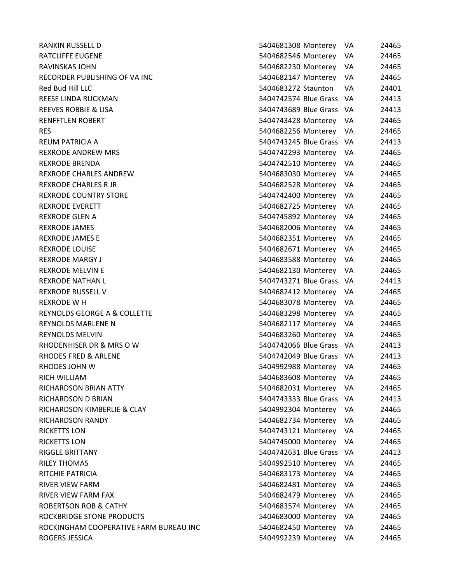| <b>RANKIN RUSSELL D</b>                | 5404681308 Monterey<br>VA     | 24465 |
|----------------------------------------|-------------------------------|-------|
| <b>RATCLIFFE EUGENE</b>                | 5404682546 Monterey<br>VA     | 24465 |
| RAVINSKAS JOHN                         | 5404682230 Monterey<br>VA     | 24465 |
| RECORDER PUBLISHING OF VA INC          | 5404682147 Monterey<br>VA.    | 24465 |
| Red Bud Hill LLC                       | 5404683272 Staunton<br>VA     | 24401 |
| REESE LINDA RUCKMAN                    | 5404742574 Blue Grass<br>- VA | 24413 |
| <b>REEVES ROBBIE &amp; LISA</b>        | 5404743689 Blue Grass<br>- VA | 24413 |
| <b>RENFFTLEN ROBERT</b>                | 5404743428 Monterey<br>VA     | 24465 |
| <b>RES</b>                             | 5404682256 Monterey<br>VA.    | 24465 |
| <b>REUM PATRICIA A</b>                 | 5404743245 Blue Grass<br>- VA | 24413 |
| <b>REXRODE ANDREW MRS</b>              | 5404742293 Monterey<br>VA     | 24465 |
| <b>REXRODE BRENDA</b>                  | 5404742510 Monterey<br>VA     | 24465 |
| <b>REXRODE CHARLES ANDREW</b>          | 5404683030 Monterey<br>VA.    | 24465 |
| <b>REXRODE CHARLES R JR</b>            | 5404682528 Monterey<br>VA     | 24465 |
| <b>REXRODE COUNTRY STORE</b>           | 5404742400 Monterey<br>VA     | 24465 |
| <b>REXRODE EVERETT</b>                 | 5404682725 Monterey<br>VA     | 24465 |
| <b>REXRODE GLEN A</b>                  | 5404745892 Monterey<br>VA     | 24465 |
| REXRODE JAMES                          | 5404682006 Monterey<br>VA     | 24465 |
| <b>REXRODE JAMES E</b>                 | 5404682351 Monterey<br>VA     | 24465 |
| <b>REXRODE LOUISE</b>                  | 5404682671 Monterey<br>VA.    | 24465 |
| <b>REXRODE MARGY J</b>                 | 5404683588 Monterey<br>VA     | 24465 |
| <b>REXRODE MELVIN E</b>                | 5404682130 Monterey<br>VA     | 24465 |
| <b>REXRODE NATHAN L</b>                | 5404743271 Blue Grass<br>- VA | 24413 |
| <b>REXRODE RUSSELL V</b>               | 5404682412 Monterey<br>VA     | 24465 |
| <b>REXRODE WH</b>                      | 5404683078 Monterey<br>VA     | 24465 |
| REYNOLDS GEORGE A & COLLETTE           | 5404683298 Monterey<br>VA     | 24465 |
| <b>REYNOLDS MARLENE N</b>              | 5404682117 Monterey<br>VA     | 24465 |
| <b>REYNOLDS MELVIN</b>                 | 5404683260 Monterey<br>VA     | 24465 |
| RHODENHISER DR & MRS O W               | 5404742066 Blue Grass VA      | 24413 |
| <b>RHODES FRED &amp; ARLENE</b>        | 5404742049 Blue Grass<br>- VA | 24413 |
| RHODES JOHN W                          | 5404992988 Monterey<br>VA     | 24465 |
| <b>RICH WILLIAM</b>                    | 5404683608 Monterey<br>VA     | 24465 |
| RICHARDSON BRIAN ATTY                  | 5404682031 Monterey<br>VA     | 24465 |
| RICHARDSON D BRIAN                     | 5404743333 Blue Grass<br>VA   | 24413 |
| RICHARDSON KIMBERLIE & CLAY            | 5404992304 Monterey<br>VA     | 24465 |
| RICHARDSON RANDY                       | 5404682734 Monterey<br>VA     | 24465 |
| <b>RICKETTS LON</b>                    | 5404743121 Monterey<br>VA     | 24465 |
| <b>RICKETTS LON</b>                    | 5404745000 Monterey<br>VA     | 24465 |
| <b>RIGGLE BRITTANY</b>                 | 5404742631 Blue Grass<br>VA   | 24413 |
| <b>RILEY THOMAS</b>                    | 5404992510 Monterey<br>VA     | 24465 |
| RITCHIE PATRICIA                       | 5404683173 Monterey<br>VA     | 24465 |
| <b>RIVER VIEW FARM</b>                 | 5404682481 Monterey<br>VA     | 24465 |
| RIVER VIEW FARM FAX                    | 5404682479 Monterey<br>VA     | 24465 |
| <b>ROBERTSON ROB &amp; CATHY</b>       | 5404683574 Monterey<br>VA.    | 24465 |
| ROCKBRIDGE STONE PRODUCTS              | 5404683000 Monterey<br>VA     | 24465 |
| ROCKINGHAM COOPERATIVE FARM BUREAU INC | 5404682450 Monterey<br>VA     | 24465 |
| ROGERS JESSICA                         | 5404992239 Monterey<br>VA     | 24465 |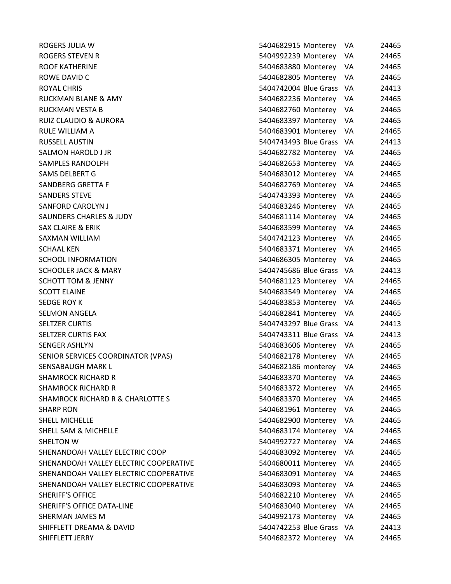ROGERS JULIA W ROGERS STEVEN R ROOF KATHERINE ROWE DAVID C ROYAL CHRIS **EXECUTE:** THE STATE STATE STATES AND THE STATE STATES AND THE STATE STATES AND THE STATES AND THE STA RUCKMAN BLANE & AMY RUCKMAN VESTA B RUIZ CLAUDIO & AURORA RULE WILLIAM A RUSSELL AUSTIN SALMON HAROLD J JR SAMPLES RANDOLPH SAMS DELBERT G SANDBERG GRETTA F SANDERS STEVE SANFORD CAROLYN J SAUNDERS CHARLES & JUDY SAX CLAIRE & ERIK SAXMAN WILLIAM SCHAAL KEN 5404683371 Monterey VA 24465 SCHOOL INFORMATION SCHOOLER JACK & MARY **SCHOTT TOM & JENNY SCOTT ELAINE** SEDGE ROY K 5404683853 Monterey VA 24465 SELMON ANGELA **SELTZER CURTIS SELTZER CURTIS FAX** SENGER ASHLYN SENIOR SERVICES COORDINATOR (VPAS) SENSABAUGH MARK L **SHAMROCK RICHARD R SHAMROCK RICHARD R** SHAMROCK RICHARD R & CHARLOTTE S SHARP RON 5404681961 Monterey VA 24465 SHELL MICHELLE SHELL SAM & MICHELLE SHELTON W 5404992727 Monterey VA 24465 SHENANDOAH VALLEY ELECTRIC COOP SHENANDOAH VALLEY ELECTRIC COOPERATIVE SHENANDOAH VALLEY ELECTRIC COOPERATIVE SHENANDOAH VALLEY ELECTRIC COOPERATIVE SHERIFF'S OFFICE SHERIFF'S OFFICE DATA-LINE SHERMAN JAMES M SHIFFLETT DREAMA & DAVID SHIFFLETT JERRY

|                       | 5404682915 Monterey | VA | 24465 |
|-----------------------|---------------------|----|-------|
| 5404992239 Monterey   |                     | VA | 24465 |
| 5404683880 Monterey   |                     | VA | 24465 |
| 5404682805 Monterey   |                     | VA | 24465 |
| 5404742004 Blue Grass |                     | VA | 24413 |
| 5404682236 Monterey   |                     | VA | 24465 |
| 5404682760 Monterey   |                     | VA | 24465 |
| 5404683397 Monterey   |                     | VA | 24465 |
| 5404683901 Monterey   |                     | VA | 24465 |
| 5404743493 Blue Grass |                     | VA | 24413 |
| 5404682782 Monterey   |                     | VA | 24465 |
| 5404682653 Monterey   |                     | VA | 24465 |
| 5404683012 Monterey   |                     | VA | 24465 |
| 5404682769 Monterey   |                     | VA | 24465 |
| 5404743393 Monterey   |                     | VA | 24465 |
| 5404683246 Monterey   |                     | VA | 24465 |
| 5404681114 Monterey   |                     | VA | 24465 |
| 5404683599 Monterey   |                     | VA | 24465 |
| 5404742123 Monterey   |                     | VA | 24465 |
| 5404683371 Monterey   |                     | VA | 24465 |
| 5404686305 Monterey   |                     | VA | 24465 |
| 5404745686 Blue Grass |                     | VA | 24413 |
| 5404681123 Monterey   |                     | VA | 24465 |
| 5404683549 Monterey   |                     | VA | 24465 |
| 5404683853 Monterey   |                     | VA | 24465 |
| 5404682841 Monterey   |                     | VA | 24465 |
| 5404743297 Blue Grass |                     | VA | 24413 |
| 5404743311 Blue Grass |                     | VA | 24413 |
| 5404683606 Monterey   |                     | VA | 24465 |
| 5404682178 Monterey   |                     | VA | 24465 |
| 5404682186 monterey   |                     | VA | 24465 |
| 5404683370 Monterey   |                     | VA | 24465 |
| 5404683372 Monterey   |                     | VA | 24465 |
| 5404683370 Monterey   |                     | VA | 24465 |
| 5404681961 Monterey   |                     | VA | 24465 |
| 5404682900 Monterey   |                     | VA | 24465 |
| 5404683174 Monterey   |                     | VA | 24465 |
| 5404992727 Monterey   |                     | VA | 24465 |
| 5404683092 Monterey   |                     | VA | 24465 |
| 5404680011 Monterey   |                     | VA | 24465 |
| 5404683091 Monterey   |                     | VA | 24465 |
| 5404683093 Monterey   |                     | VA | 24465 |
| 5404682210 Monterey   |                     | VA | 24465 |
| 5404683040 Monterey   |                     | VA | 24465 |
| 5404992173 Monterey   |                     | VA | 24465 |
| 5404742253 Blue Grass |                     | VA | 24413 |
| 5404682372 Monterey   |                     | VA | 24465 |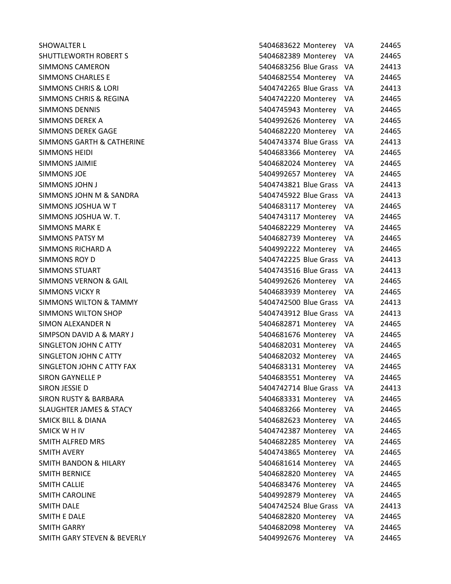| SHOWALTER L                        | 5404683622 Monterey      | VA  | 24465 |
|------------------------------------|--------------------------|-----|-------|
| SHUTTLEWORTH ROBERT S              | 5404682389 Monterey VA   |     | 24465 |
| SIMMONS CAMERON                    | 5404683256 Blue Grass VA |     | 24413 |
| <b>SIMMONS CHARLES E</b>           | 5404682554 Monterey      | VA. | 24465 |
| SIMMONS CHRIS & LORI               | 5404742265 Blue Grass VA |     | 24413 |
| SIMMONS CHRIS & REGINA             | 5404742220 Monterey VA   |     | 24465 |
| <b>SIMMONS DENNIS</b>              | 5404745943 Monterey VA   |     | 24465 |
| SIMMONS DEREK A                    | 5404992626 Monterey      | VA  | 24465 |
| <b>SIMMONS DEREK GAGE</b>          | 5404682220 Monterey      | VA. | 24465 |
| SIMMONS GARTH & CATHERINE          | 5404743374 Blue Grass VA |     | 24413 |
| SIMMONS HEIDI                      | 5404683366 Monterey VA   |     | 24465 |
| <b>SIMMONS JAIMIE</b>              | 5404682024 Monterey VA   |     | 24465 |
| SIMMONS JOE                        | 5404992657 Monterey VA   |     | 24465 |
| SIMMONS JOHN J                     | 5404743821 Blue Grass VA |     | 24413 |
| SIMMONS JOHN M & SANDRA            | 5404745922 Blue Grass VA |     | 24413 |
| SIMMONS JOSHUA W T                 | 5404683117 Monterey VA   |     | 24465 |
| SIMMONS JOSHUA W. T.               | 5404743117 Monterey VA   |     | 24465 |
| SIMMONS MARK E                     | 5404682229 Monterey      | VA. | 24465 |
| SIMMONS PATSY M                    | 5404682739 Monterey VA   |     | 24465 |
| SIMMONS RICHARD A                  | 5404992222 Monterey VA   |     | 24465 |
| SIMMONS ROY D                      | 5404742225 Blue Grass VA |     | 24413 |
| SIMMONS STUART                     | 5404743516 Blue Grass VA |     | 24413 |
| SIMMONS VERNON & GAIL              | 5404992626 Monterey      | VA. | 24465 |
| SIMMONS VICKY R                    | 5404683939 Monterey VA   |     | 24465 |
| SIMMONS WILTON & TAMMY             | 5404742500 Blue Grass VA |     | 24413 |
| SIMMONS WILTON SHOP                | 5404743912 Blue Grass VA |     | 24413 |
| SIMON ALEXANDER N                  | 5404682871 Monterey      | VA. | 24465 |
| SIMPSON DAVID A & MARY J           | 5404681676 Monterey      | VA. | 24465 |
| <b>SINGLETON JOHN C ATTY</b>       | 5404682031 Monterey VA   |     | 24465 |
| <b>SINGLETON JOHN C ATTY</b>       | 5404682032 Monterey      | VA  | 24465 |
| SINGLETON JOHN C ATTY FAX          | 5404683131 Monterey VA   |     | 24465 |
| SIRON GAYNELLE P                   | 5404683551 Monterey      | VA. | 24465 |
| SIRON JESSIE D                     | 5404742714 Blue Grass VA |     | 24413 |
| SIRON RUSTY & BARBARA              | 5404683331 Monterey VA   |     | 24465 |
| <b>SLAUGHTER JAMES &amp; STACY</b> | 5404683266 Monterey      | VA  | 24465 |
| SMICK BILL & DIANA                 | 5404682623 Monterey VA   |     | 24465 |
| SMICK W H IV                       | 5404742387 Monterey      | VA. | 24465 |
| SMITH ALFRED MRS                   | 5404682285 Monterey      | VA. | 24465 |
| SMITH AVERY                        | 5404743865 Monterey      | VA. | 24465 |
| SMITH BANDON & HILARY              | 5404681614 Monterey      | VA  | 24465 |
| SMITH BERNICE                      | 5404682820 Monterey      | VA. | 24465 |
| SMITH CALLIE                       | 5404683476 Monterey      | VA  | 24465 |
| SMITH CAROLINE                     | 5404992879 Monterey VA   |     | 24465 |
| SMITH DALE                         | 5404742524 Blue Grass VA |     | 24413 |
| SMITH E DALE                       | 5404682820 Monterey      | VA  | 24465 |
| SMITH GARRY                        | 5404682098 Monterey VA   |     | 24465 |
| SMITH GARY STEVEN & BEVERLY        | 5404992676 Monterey VA   |     | 24465 |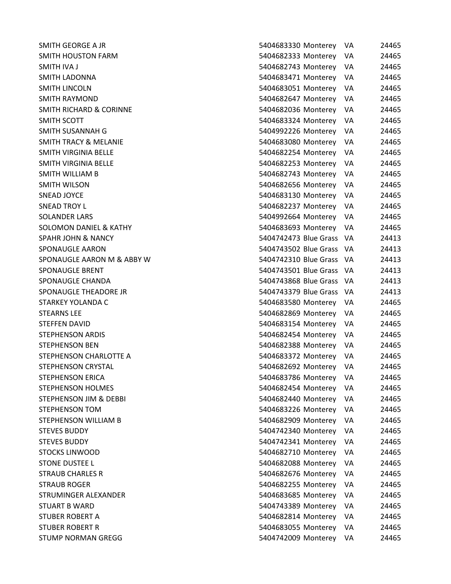| SMITH GEORGE A JR                | 5404683330 Monterey      | VA.  | 24465 |
|----------------------------------|--------------------------|------|-------|
| SMITH HOUSTON FARM               | 5404682333 Monterey      | VA   | 24465 |
| SMITH IVA J                      | 5404682743 Monterey VA   |      | 24465 |
| SMITH LADONNA                    | 5404683471 Monterey      | VA.  | 24465 |
| SMITH LINCOLN                    | 5404683051 Monterey      | VA.  | 24465 |
| SMITH RAYMOND                    | 5404682647 Monterey VA   |      | 24465 |
| SMITH RICHARD & CORINNE          | 5404682036 Monterey VA   |      | 24465 |
| SMITH SCOTT                      | 5404683324 Monterey      | VA.  | 24465 |
| SMITH SUSANNAH G                 | 5404992226 Monterey      | VA   | 24465 |
| <b>SMITH TRACY &amp; MELANIE</b> | 5404683080 Monterey VA   |      | 24465 |
| SMITH VIRGINIA BELLE             | 5404682254 Monterey VA   |      | 24465 |
| SMITH VIRGINIA BELLE             | 5404682253 Monterey VA   |      | 24465 |
| SMITH WILLIAM B                  | 5404682743 Monterey      | VA.  | 24465 |
| SMITH WILSON                     | 5404682656 Monterey      | VA.  | 24465 |
| SNEAD JOYCE                      | 5404683130 Monterey VA   |      | 24465 |
| <b>SNEAD TROY L</b>              | 5404682237 Monterey VA   |      | 24465 |
| <b>SOLANDER LARS</b>             | 5404992664 Monterey VA   |      | 24465 |
| SOLOMON DANIEL & KATHY           | 5404683693 Monterey VA   |      | 24465 |
| <b>SPAHR JOHN &amp; NANCY</b>    | 5404742473 Blue Grass VA |      | 24413 |
| SPONAUGLE AARON                  | 5404743502 Blue Grass VA |      | 24413 |
| SPONAUGLE AARON M & ABBY W       | 5404742310 Blue Grass VA |      | 24413 |
| SPONAUGLE BRENT                  | 5404743501 Blue Grass VA |      | 24413 |
| SPONAUGLE CHANDA                 | 5404743868 Blue Grass VA |      | 24413 |
| SPONAUGLE THEADORE JR            | 5404743379 Blue Grass VA |      | 24413 |
| STARKEY YOLANDA C                | 5404683580 Monterey VA   |      | 24465 |
| <b>STEARNS LEE</b>               | 5404682869 Monterey VA   |      | 24465 |
| STEFFEN DAVID                    | 5404683154 Monterey VA   |      | 24465 |
| STEPHENSON ARDIS                 | 5404682454 Monterey      | VA.  | 24465 |
| <b>STEPHENSON BEN</b>            | 5404682388 Monterey VA   |      | 24465 |
| STEPHENSON CHARLOTTE A           | 5404683372 Monterey VA   |      | 24465 |
| STEPHENSON CRYSTAL               | 5404682692 Monterey VA   |      | 24465 |
| STEPHENSON ERICA                 | 5404683786 Monterey      | VA   | 24465 |
| <b>STEPHENSON HOLMES</b>         | 5404682454 Monterey      | VA   | 24465 |
| STEPHENSON JIM & DEBBI           | 5404682440 Monterey      | VA   | 24465 |
| STEPHENSON TOM                   | 5404683226 Monterey      | VA   | 24465 |
| STEPHENSON WILLIAM B             | 5404682909 Monterey      | VA   | 24465 |
| STEVES BUDDY                     | 5404742340 Monterey      | VA   | 24465 |
| <b>STEVES BUDDY</b>              | 5404742341 Monterey      | VA   | 24465 |
| STOCKS LINWOOD                   | 5404682710 Monterey      | VA   | 24465 |
| <b>STONE DUSTEE L</b>            | 5404682088 Monterey      | VA   | 24465 |
| STRAUB CHARLES R                 | 5404682676 Monterey      | VA   | 24465 |
| <b>STRAUB ROGER</b>              | 5404682255 Monterey      | VA   | 24465 |
| STRUMINGER ALEXANDER             | 5404683685 Monterey      | VA   | 24465 |
| STUART B WARD                    | 5404743389 Monterey      | VA   | 24465 |
| STUBER ROBERT A                  | 5404682814 Monterey      | VA   | 24465 |
| STUBER ROBERT R                  | 5404683055 Monterey      | VA   | 24465 |
| STUMP NORMAN GREGG               | 5404742009 Monterey      | - VA | 24465 |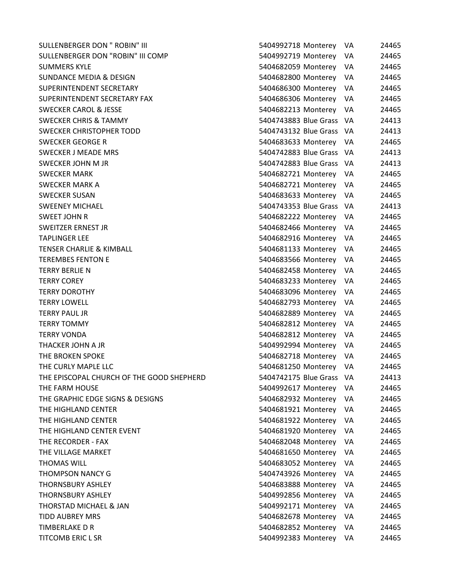SULLENBERGER DON " ROBIN" III SULLENBERGER DON "ROBIN" III COMP SUMMERS KYLE SUNDANCE MEDIA & DESIGN SUPERINTENDENT SECRETARY SUPERINTENDENT SECRETARY FAX SWECKER CAROL & JESSE SWECKER CHRIS & TAMMY SWECKER CHRISTOPHER TODD SWECKER GEORGE R SWECKER J MEADE MRS SWECKER JOHN M JR **SWECKER MARK** SWECKER MARK A SWECKER SUSAN SWEENEY MICHAEL SWEET JOHN R SWEITZER ERNEST JR **TAPLINGER LEE** TENSER CHARLIE & KIMBALL TEREMBES FENTON E TERRY BERLIE N TERRY COREY 5404683233 Monterey VA 24465 **TERRY DOROTHY TERRY LOWELL TERRY PAUL JR TERRY TOMMY TERRY VONDA** THACKER JOHN A JR THE BROKEN SPOKE THE CURLY MAPLE LLC THE EPISCOPAL CHURCH OF THE GOOD SHEPHERD THE FARM HOUSE THE GRAPHIC EDGE SIGNS & DESIGNS THE HIGHLAND CENTER THE HIGHLAND CENTER THE HIGHLAND CENTER EVENT THE RECORDER - FAX THE VILLAGE MARKET **THOMAS WILL** THOMPSON NANCY G **THORNSBURY ASHLEY** THORNSBURY ASHLEY THORSTAD MICHAEL & JAN TIDD AUBREY MRS TIMBERLAKE D R TITCOMB ERIC L SR

| 5404992718 Monterey   |          | VA | 24465 |
|-----------------------|----------|----|-------|
| 5404992719 Monterey   |          | VA | 24465 |
| 5404682059 Monterey   |          | VA | 24465 |
| 5404682800 Monterey   |          | VA | 24465 |
| 5404686300 Monterey   |          | VA | 24465 |
| 5404686306 Monterey   |          | VA | 24465 |
| 5404682213 Monterey   |          | VA | 24465 |
| 5404743883 Blue Grass |          | VA | 24413 |
| 5404743132 Blue Grass |          | VA | 24413 |
| 5404683633 Monterey   |          | VA | 24465 |
| 5404742883 Blue Grass |          | VA | 24413 |
| 5404742883 Blue Grass |          | VA | 24413 |
| 5404682721 Monterey   |          | VA | 24465 |
| 5404682721 Monterey   |          | VA | 24465 |
| 5404683633 Monterey   |          | VA | 24465 |
| 5404743353 Blue Grass |          | VA | 24413 |
| 5404682222 Monterey   |          | VA | 24465 |
| 5404682466            | Monterey | VA | 24465 |
| 5404682916 Monterey   |          | VA | 24465 |
| 5404681133 Monterey   |          | VA | 24465 |
| 5404683566 Monterey   |          | VA | 24465 |
| 5404682458 Monterey   |          | VA | 24465 |
| 5404683233 Monterey   |          | VA | 24465 |
| 5404683096 Monterey   |          | VA | 24465 |
| 5404682793 Monterey   |          | VA | 24465 |
| 5404682889 Monterey   |          | VA | 24465 |
| 5404682812 Monterey   |          | VA | 24465 |
| 5404682812 Monterey   |          | VA | 24465 |
| 5404992994 Monterey   |          | VA | 24465 |
| 5404682718 Monterey   |          | VA | 24465 |
| 5404681250 Monterey   |          | VA | 24465 |
| 5404742175 Blue Grass |          | ٧A | 24413 |
| 5404992617 Monterey   |          | VA | 24465 |
| 5404682932 Monterey   |          | VA | 24465 |
| 5404681921 Monterey   |          | VA | 24465 |
| 5404681922 Monterey   |          | VA | 24465 |
| 5404681920 Monterey   |          | VA | 24465 |
| 5404682048 Monterey   |          | VA | 24465 |
| 5404681650 Monterey   |          | VA | 24465 |
| 5404683052 Monterey   |          | VA | 24465 |
| 5404743926 Monterey   |          | VA | 24465 |
| 5404683888 Monterey   |          | VA | 24465 |
| 5404992856 Monterey   |          | VA | 24465 |
| 5404992171 Monterey   |          | VA | 24465 |
| 5404682678 Monterey   |          | VA | 24465 |
| 5404682852 Monterey   |          | VA | 24465 |
| 5404992383 Monterey   |          | VA | 24465 |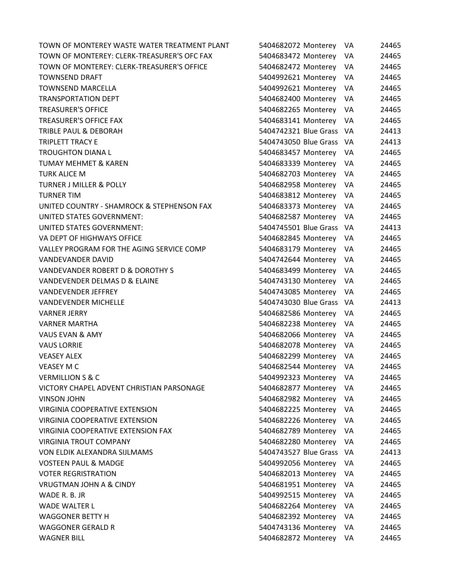TOWN OF MONTEREY WASTE WATER TREATMENT PLANT 5404682072 Monterey VA 24465 TOWN OF MONTEREY: CLERK-TREASURER'S OFC FAX 5404683472 Monterey VA 24465 TOWN OF MONTEREY: CLERK-TREASURER'S OFFICE 5404682472 Monterey VA 24465 TOWNSEND DRAFT 5404992621 Monterey VA 24465 TOWNSEND MARCELLA 5404992621 Monterey VA 24465 TRANSPORTATION DEPT 5404682400 Monterey VA 24465 TREASURER'S OFFICE 5404682265 Monterey VA 24465 TREASURER'S OFFICE FAX 5404683141 Monterey VA 24465 TRIBLE PAUL & DEBORAH 5404742321 Blue Grass VA 24413 TRIPLETT TRACY E 6 1 24413 CHE STATE STATES AND TRIPLETT TRACY E 14413 TROUGHTON DIANA L 5404683457 Monterey VA 24465 TUMAY MEHMET & KAREN 5404683339 Monterey VA 24465 TURK ALICE M 5404682703 Monterey VA 24465 TURNER J MILLER & POLLY 5404682958 Monterey VA 24465 TURNER TIM 5404683812 Monterey VA 24465 UNITED COUNTRY - SHAMROCK & STEPHENSON FAX 5404683373 Monterey VA 24465 UNITED STATES GOVERNMENT: 5404682587 Monterey VA 24465 UNITED STATES GOVERNMENT: 5404745501 Blue Grass VA 24413 VA DEPT OF HIGHWAYS OFFICE THE STATE STATE STATES AND S404682845 Monterey VA 24465 VALLEY PROGRAM FOR THE AGING SERVICE COMP 5404683179 Monterey VA 24465 VANDEVANDER DAVID 5404742644 Monterey VA 24465 VANDEVANDER ROBERT D & DOROTHY S 5404683499 Monterey VA 24465 VANDEVENDER DELMAS D & ELAINE THE STREET STREET STREET STREET STREET STREET STREET STREET STREET STREET STREET VANDEVENDER JEFFREY 5404743085 Monterey VA 24465 VANDEVENDER MICHELLE **1998** S404743030 Blue Grass VA 24413 VARNER JERRY 5404682586 Monterey VA 24465 VARNER MARTHA 5404682238 Monterey VA 24465 VAUS EVAN & AMY 5404682066 Monterey VA 24465 VAUS LORRIE 5404682078 Monterey VA 24465 VEASEY ALEX 5404682299 Monterey VA 24465 VEASEY M C 5404682544 Monterey VA 24465 VERMILLION S & C 5404992323 Monterey VA 24465 VICTORY CHAPEL ADVENT CHRISTIAN PARSONAGE 5404682877 Monterey VA 24465 VINSON JOHN 5404682982 Monterey VA 24465 VIRGINIA COOPERATIVE EXTENSION 5404682225 Monterey VA 24465 VIRGINIA COOPERATIVE EXTENSION 5404682226 Monterey VA 24465 VIRGINIA COOPERATIVE EXTENSION FAX 5404682789 Monterey VA 24465 VIRGINIA TROUT COMPANY 5404682280 Monterey VA 24465 VON ELDIK ALEXANDRA SIJLMAMS 5404743527 Blue Grass VA 24413 VOSTEEN PAUL & MADGE 5404992056 Monterey VA 24465 VOTER REGRISTRATION 5404682013 Monterey VA 24465 VRUGTMAN JOHN A & CINDY 5404681951 Monterey VA 24465 WADE R. B. JR 5404992515 Monterey VA 24465 WADE WALTER L 5404682264 Monterey VA 24465 WAGGONER BETTY H FOR THE STATE STATES AND S404682392 Monterey VA 24465 WAGGONER GERALD R 1990 CONTROL 24465 WAGNER BILL 5404682872 Monterey VA 24465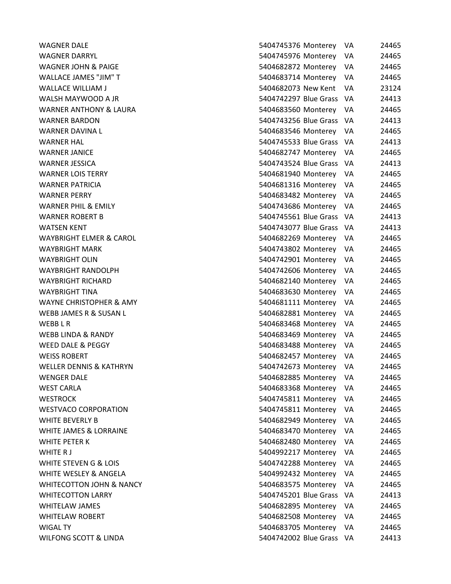| <b>WAGNER DALE</b>                  | 5404745376 Monterey      | VA   | 24465 |
|-------------------------------------|--------------------------|------|-------|
| <b>WAGNER DARRYL</b>                | 5404745976 Monterey      | VA   | 24465 |
| WAGNER JOHN & PAIGE                 | 5404682872 Monterey      | VA   | 24465 |
| <b>WALLACE JAMES "JIM" T</b>        | 5404683714 Monterey      | VA.  | 24465 |
| <b>WALLACE WILLIAM J</b>            | 5404682073 New Kent      | VA   | 23124 |
| WALSH MAYWOOD A JR                  | 5404742297 Blue Grass    | - VA | 24413 |
| <b>WARNER ANTHONY &amp; LAURA</b>   | 5404683560 Monterey VA   |      | 24465 |
| <b>WARNER BARDON</b>                | 5404743256 Blue Grass VA |      | 24413 |
| <b>WARNER DAVINA L</b>              | 5404683546 Monterey      | VA   | 24465 |
| <b>WARNER HAL</b>                   | 5404745533 Blue Grass VA |      | 24413 |
| <b>WARNER JANICE</b>                | 5404682747 Monterey VA   |      | 24465 |
| <b>WARNER JESSICA</b>               | 5404743524 Blue Grass VA |      | 24413 |
| <b>WARNER LOIS TERRY</b>            | 5404681940 Monterey      | VA   | 24465 |
| <b>WARNER PATRICIA</b>              | 5404681316 Monterey      | VA   | 24465 |
| <b>WARNER PERRY</b>                 | 5404683482 Monterey      | VA   | 24465 |
| <b>WARNER PHIL &amp; EMILY</b>      | 5404743686 Monterey      | VA   | 24465 |
| <b>WARNER ROBERT B</b>              | 5404745561 Blue Grass VA |      | 24413 |
| <b>WATSEN KENT</b>                  | 5404743077 Blue Grass VA |      | 24413 |
| <b>WAYBRIGHT ELMER &amp; CAROL</b>  | 5404682269 Monterey      | VA   | 24465 |
| <b>WAYBRIGHT MARK</b>               | 5404743802 Monterey      | VA.  | 24465 |
| <b>WAYBRIGHT OLIN</b>               | 5404742901 Monterey      | VA   | 24465 |
| <b>WAYBRIGHT RANDOLPH</b>           | 5404742606 Monterey      | VA   | 24465 |
| <b>WAYBRIGHT RICHARD</b>            | 5404682140 Monterey      | VA   | 24465 |
| <b>WAYBRIGHT TINA</b>               | 5404683630 Monterey      | VA   | 24465 |
| <b>WAYNE CHRISTOPHER &amp; AMY</b>  | 5404681111 Monterey      | VA   | 24465 |
| WEBB JAMES R & SUSAN L              | 5404682881 Monterey      | VA   | 24465 |
| WEBB L R                            | 5404683468 Monterey      | VA   | 24465 |
| WEBB LINDA & RANDY                  | 5404683469 Monterey      | VA   | 24465 |
| WEED DALE & PEGGY                   | 5404683488 Monterey      | VA   | 24465 |
| <b>WEISS ROBERT</b>                 | 5404682457 Monterey      | VA   | 24465 |
| <b>WELLER DENNIS &amp; KATHRYN</b>  | 5404742673 Monterey      | VA   | 24465 |
| <b>WENGER DALE</b>                  | 5404682885 Monterey      | VA   | 24465 |
| <b>WEST CARLA</b>                   | 5404683368 Monterey      | VA   | 24465 |
| <b>WESTROCK</b>                     | 5404745811 Monterey      | VA   | 24465 |
| <b>WESTVACO CORPORATION</b>         | 5404745811 Monterey      | VA   | 24465 |
| <b>WHITE BEVERLY B</b>              | 5404682949 Monterey      | VA   | 24465 |
| WHITE JAMES & LORRAINE              | 5404683470 Monterey      | VA   | 24465 |
| <b>WHITE PETER K</b>                | 5404682480 Monterey      | VA   | 24465 |
| WHITE R J                           | 5404992217 Monterey      | VA   | 24465 |
| WHITE STEVEN G & LOIS               | 5404742288 Monterey      | VA   | 24465 |
| WHITE WESLEY & ANGELA               | 5404992432 Monterey      | VA   | 24465 |
| <b>WHITECOTTON JOHN &amp; NANCY</b> | 5404683575 Monterey      | VA   | 24465 |
| <b>WHITECOTTON LARRY</b>            | 5404745201 Blue Grass    | - VA | 24413 |
| <b>WHITELAW JAMES</b>               | 5404682895 Monterey      | VA.  | 24465 |
| <b>WHITELAW ROBERT</b>              | 5404682508 Monterey      | VA   | 24465 |
| <b>WIGAL TY</b>                     | 5404683705 Monterey      | VA   | 24465 |
| WILFONG SCOTT & LINDA               | 5404742002 Blue Grass VA |      | 24413 |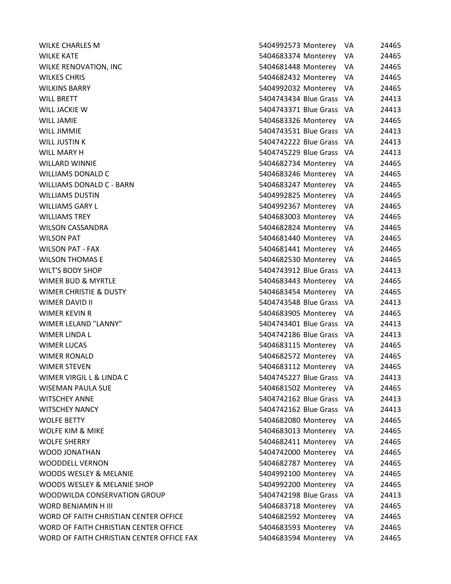| WILKE CHARLES M                           | 5404992573 Monterey      | 24465<br>VA   |
|-------------------------------------------|--------------------------|---------------|
| WILKE KATE                                | 5404683374 Monterey      | VA<br>24465   |
| WILKE RENOVATION, INC                     | 5404681448 Monterey VA   | 24465         |
| <b>WILKES CHRIS</b>                       | 5404682432 Monterey      | 24465<br>VA.  |
| <b>WILKINS BARRY</b>                      | 5404992032 Monterey      | 24465<br>VA.  |
| WILL BRETT                                | 5404743434 Blue Grass VA | 24413         |
| WILL JACKIE W                             | 5404743371 Blue Grass VA | 24413         |
| WILL JAMIE                                | 5404683326 Monterey VA   | 24465         |
| WILL JIMMIE                               | 5404743531 Blue Grass VA | 24413         |
| WILL JUSTIN K                             | 5404742222 Blue Grass VA | 24413         |
| WILL MARY H                               | 5404745229 Blue Grass VA | 24413         |
| WILLARD WINNIE                            | 5404682734 Monterey      | VA.<br>24465  |
| WILLIAMS DONALD C                         | 5404683246 Monterey VA   | 24465         |
| WILLIAMS DONALD C - BARN                  | 5404683247 Monterey      | VA<br>24465   |
| WILLIAMS DUSTIN                           | 5404992825 Monterey VA   | 24465         |
| WILLIAMS GARY L                           | 5404992367 Monterey VA   | 24465         |
| <b>WILLIAMS TREY</b>                      | 5404683003 Monterey VA   | 24465         |
| WILSON CASSANDRA                          | 5404682824 Monterey      | 24465<br>VA   |
| <b>WILSON PAT</b>                         | 5404681440 Monterey      | 24465<br>VA.  |
| WILSON PAT - FAX                          | 5404681441 Monterey VA   | 24465         |
| WILSON THOMAS E                           | 5404682530 Monterey VA   | 24465         |
| WILT'S BODY SHOP                          | 5404743912 Blue Grass VA | 24413         |
| WIMER BUD & MYRTLE                        | 5404683443 Monterey      | 24465<br>VA.  |
| WIMER CHRISTIE & DUSTY                    | 5404683454 Monterey VA   | 24465         |
| WIMER DAVID II                            | 5404743548 Blue Grass VA | 24413         |
| WIMER KEVIN R                             | 5404683905 Monterey VA   | 24465         |
| WIMER LELAND "LANNY"                      | 5404743401 Blue Grass VA | 24413         |
| WIMER LINDA L                             | 5404742186 Blue Grass VA | 24413         |
| WIMER LUCAS                               | 5404683115 Monterey VA   | 24465         |
| WIMER RONALD                              | 5404682572 Monterey VA   | 24465         |
| WIMER STEVEN                              | 5404683112 Monterey VA   | 24465         |
| WIMER VIRGIL L & LINDA C                  | 5404745227 Blue Grass    | 24413<br>- VA |
| WISEMAN PAULA SUE                         | 5404681502 Monterey      | 24465<br>VA.  |
| WITSCHEY ANNE                             | 5404742162 Blue Grass VA | 24413         |
| <b>WITSCHEY NANCY</b>                     | 5404742162 Blue Grass VA | 24413         |
| <b>WOLFE BETTY</b>                        | 5404682080 Monterey      | 24465<br>VA   |
| WOLFE KIM & MIKE                          | 5404683013 Monterey      | VA<br>24465   |
| WOLFE SHERRY                              | 5404682411 Monterey      | VA<br>24465   |
| WOOD JONATHAN                             | 5404742000 Monterey      | VA<br>24465   |
| WOODDELL VERNON                           | 5404682787 Monterey      | 24465<br>VA   |
| WOODS WESLEY & MELANIE                    | 5404992100 Monterey VA   | 24465         |
| WOODS WESLEY & MELANIE SHOP               | 5404992200 Monterey      | 24465<br>VA.  |
| WOODWILDA CONSERVATION GROUP              | 5404742198 Blue Grass VA | 24413         |
| WORD BENJAMIN H III                       | 5404683718 Monterey      | VA.<br>24465  |
| WORD OF FAITH CHRISTIAN CENTER OFFICE     | 5404682592 Monterey      | 24465<br>VA.  |
| WORD OF FAITH CHRISTIAN CENTER OFFICE     | 5404683593 Monterey VA   | 24465         |
| WORD OF FAITH CHRISTIAN CENTER OFFICE FAX | 5404683594 Monterey VA   | 24465         |